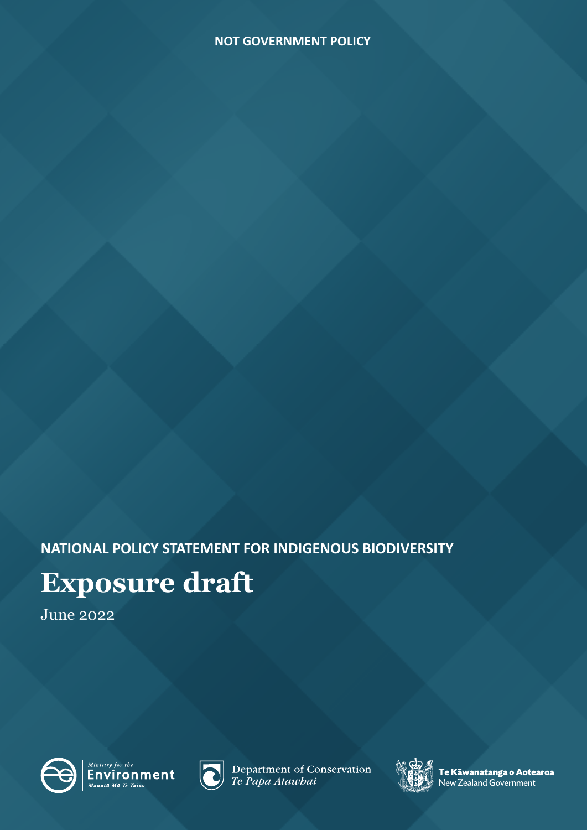## **NOT GOVERNMENT POLICY**

**NATIONAL POLICY STATEMENT FOR INDIGENOUS BIODIVERSITY**

# **Exposure draft**

June 2022







Department of Conservation<br>Te Papa Atawbai



Te Kāwanatanga o Aotearoa<br>New Zealand Government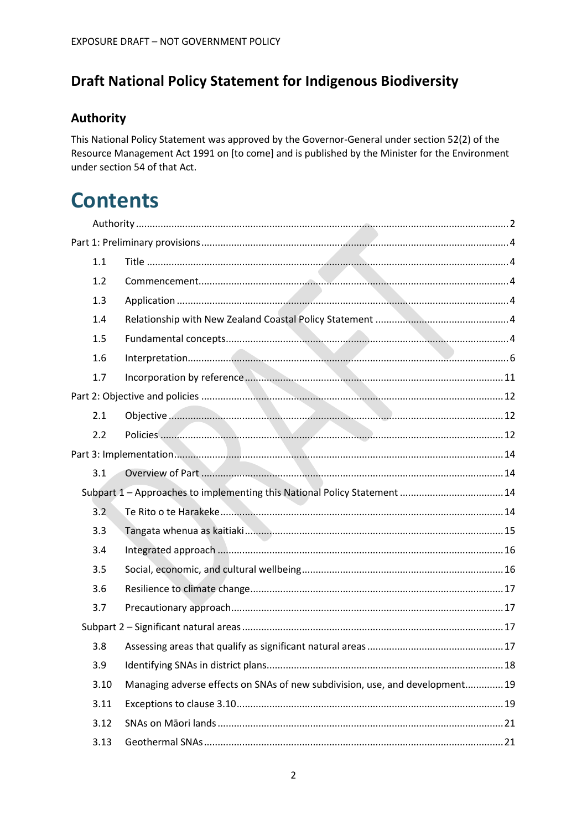## **Draft National Policy Statement for Indigenous Biodiversity**

## <span id="page-1-0"></span>**Authority**

This National Policy Statement was approved by the Governor-General under section 52(2) of the Resource Management Act 1991 on [to come] and is published by the Minister for the Environment under section 54 of that Act.

## **Contents**

| 1.1  |                                                                             |
|------|-----------------------------------------------------------------------------|
| 1.2  |                                                                             |
| 1.3  |                                                                             |
| 1.4  |                                                                             |
| 1.5  |                                                                             |
| 1.6  |                                                                             |
| 1.7  |                                                                             |
|      |                                                                             |
| 2.1  |                                                                             |
| 2.2  |                                                                             |
|      |                                                                             |
| 3.1  |                                                                             |
|      | Subpart 1 - Approaches to implementing this National Policy Statement  14   |
| 3.2  |                                                                             |
| 3.3  |                                                                             |
| 3.4  |                                                                             |
| 3.5  |                                                                             |
| 3.6  |                                                                             |
| 3.7  |                                                                             |
|      |                                                                             |
| 3.8  |                                                                             |
| 3.9  |                                                                             |
| 3.10 | Managing adverse effects on SNAs of new subdivision, use, and development19 |
| 3.11 |                                                                             |
| 3.12 |                                                                             |
| 3.13 |                                                                             |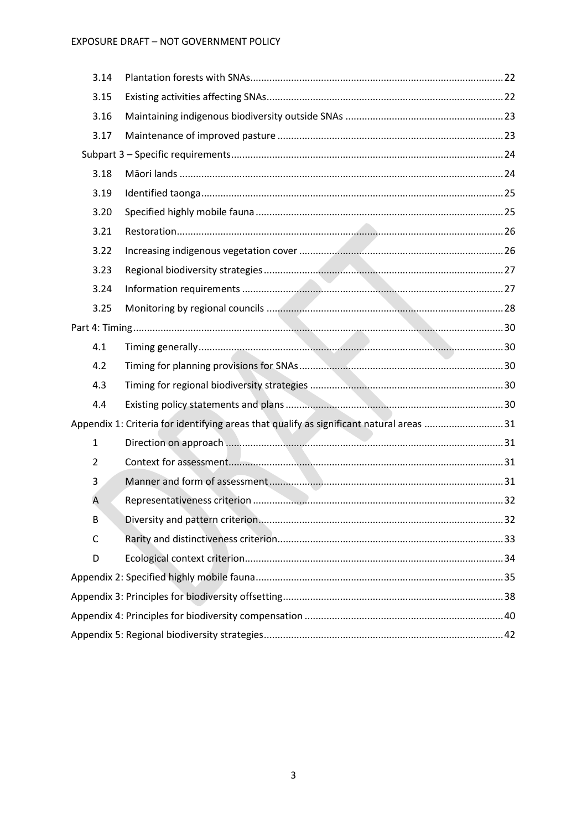## EXPOSURE DRAFT - NOT GOVERNMENT POLICY

| 3.14           |                                                                                         |  |
|----------------|-----------------------------------------------------------------------------------------|--|
| 3.15           |                                                                                         |  |
| 3.16           |                                                                                         |  |
| 3.17           |                                                                                         |  |
|                |                                                                                         |  |
| 3.18           |                                                                                         |  |
| 3.19           |                                                                                         |  |
| 3.20           |                                                                                         |  |
| 3.21           |                                                                                         |  |
| 3.22           |                                                                                         |  |
| 3.23           |                                                                                         |  |
| 3.24           |                                                                                         |  |
| 3.25           |                                                                                         |  |
|                |                                                                                         |  |
| 4.1            |                                                                                         |  |
| 4.2            |                                                                                         |  |
| 4.3            |                                                                                         |  |
|                |                                                                                         |  |
| 4.4            |                                                                                         |  |
|                | Appendix 1: Criteria for identifying areas that qualify as significant natural areas 31 |  |
| $\mathbf{1}$   |                                                                                         |  |
| $\overline{2}$ |                                                                                         |  |
| 3              |                                                                                         |  |
| A              |                                                                                         |  |
| B              |                                                                                         |  |
| C              |                                                                                         |  |
| D              |                                                                                         |  |
|                |                                                                                         |  |
|                |                                                                                         |  |
|                |                                                                                         |  |
|                |                                                                                         |  |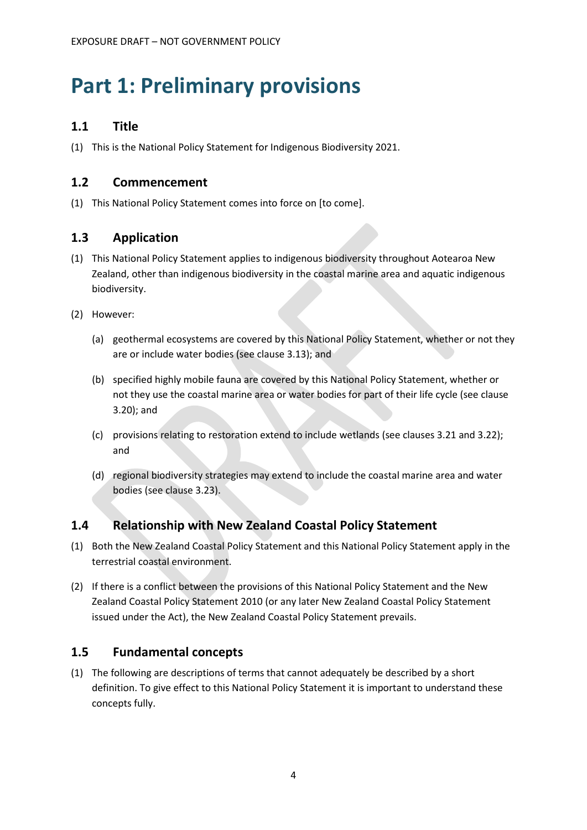## <span id="page-3-0"></span>**Part 1: Preliminary provisions**

## <span id="page-3-1"></span>**1.1 Title**

(1) This is the National Policy Statement for Indigenous Biodiversity 2021.

#### <span id="page-3-2"></span>**1.2 Commencement**

(1) This National Policy Statement comes into force on [to come].

## <span id="page-3-3"></span>**1.3 Application**

- (1) This National Policy Statement applies to indigenous biodiversity throughout Aotearoa New Zealand, other than indigenous biodiversity in the coastal marine area and aquatic indigenous biodiversity.
- (2) However:
	- (a) geothermal ecosystems are covered by this National Policy Statement, whether or not they are or include water bodies (see clause 3.13); and
	- (b) specified highly mobile fauna are covered by this National Policy Statement, whether or not they use the coastal marine area or water bodies for part of their life cycle (see clause 3.20); and
	- (c) provisions relating to restoration extend to include wetlands (see clauses 3.21 and 3.22); and
	- (d) regional biodiversity strategies may extend to include the coastal marine area and water bodies (see clause 3.23).

## <span id="page-3-4"></span>**1.4 Relationship with New Zealand Coastal Policy Statement**

- (1) Both the New Zealand Coastal Policy Statement and this National Policy Statement apply in the terrestrial coastal environment.
- (2) If there is a conflict between the provisions of this National Policy Statement and the New Zealand Coastal Policy Statement 2010 (or any later New Zealand Coastal Policy Statement issued under the Act), the New Zealand Coastal Policy Statement prevails.

## <span id="page-3-5"></span>**1.5 Fundamental concepts**

(1) The following are descriptions of terms that cannot adequately be described by a short definition. To give effect to this National Policy Statement it is important to understand these concepts fully.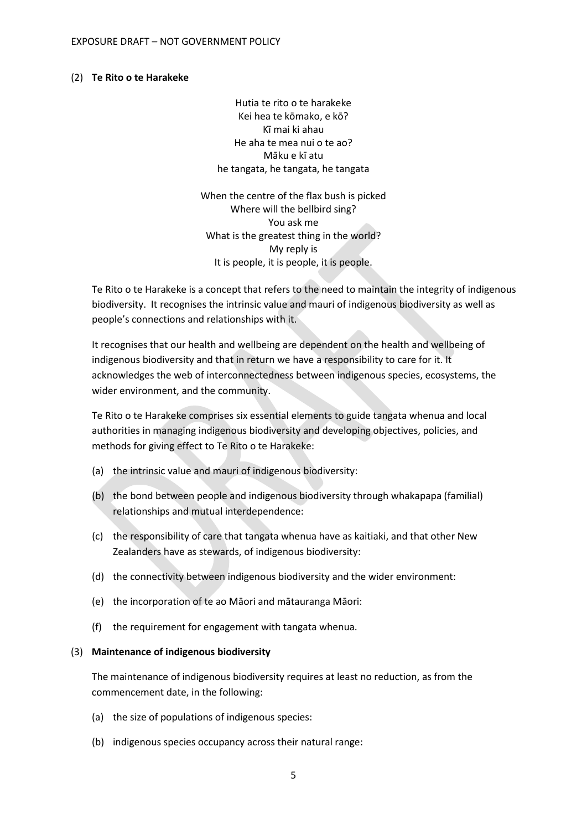#### (2) **Te Rito o te Harakeke**

Hutia te rito o te harakeke Kei hea te kōmako, e kō? Kī mai ki ahau He aha te mea nui o te ao? Māku e kī atu he tangata, he tangata, he tangata

When the centre of the flax bush is picked Where will the bellbird sing? You ask me What is the greatest thing in the world? My reply is It is people, it is people, it is people.

Te Rito o te Harakeke is a concept that refers to the need to maintain the integrity of indigenous biodiversity. It recognises the intrinsic value and mauri of indigenous biodiversity as well as people's connections and relationships with it.

It recognises that our health and wellbeing are dependent on the health and wellbeing of indigenous biodiversity and that in return we have a responsibility to care for it. It acknowledges the web of interconnectedness between indigenous species, ecosystems, the wider environment, and the community.

Te Rito o te Harakeke comprises six essential elements to guide tangata whenua and local authorities in managing indigenous biodiversity and developing objectives, policies, and methods for giving effect to Te Rito o te Harakeke:

- (a) the intrinsic value and mauri of indigenous biodiversity:
- (b) the bond between people and indigenous biodiversity through whakapapa (familial) relationships and mutual interdependence:
- (c) the responsibility of care that tangata whenua have as kaitiaki, and that other New Zealanders have as stewards, of indigenous biodiversity:
- (d) the connectivity between indigenous biodiversity and the wider environment:
- (e) the incorporation of te ao Māori and mātauranga Māori:
- (f) the requirement for engagement with tangata whenua.

#### (3) **Maintenance of indigenous biodiversity**

The maintenance of indigenous biodiversity requires at least no reduction, as from the commencement date, in the following:

- (a) the size of populations of indigenous species:
- (b) indigenous species occupancy across their natural range: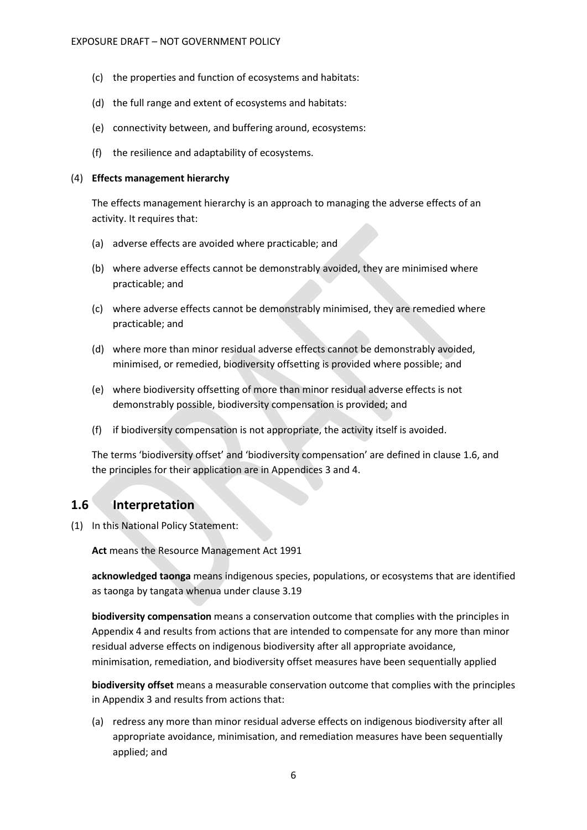- (c) the properties and function of ecosystems and habitats:
- (d) the full range and extent of ecosystems and habitats:
- (e) connectivity between, and buffering around, ecosystems:
- (f) the resilience and adaptability of ecosystems.

#### (4) **Effects management hierarchy**

The effects management hierarchy is an approach to managing the adverse effects of an activity. It requires that:

- (a) adverse effects are avoided where practicable; and
- (b) where adverse effects cannot be demonstrably avoided, they are minimised where practicable; and
- (c) where adverse effects cannot be demonstrably minimised, they are remedied where practicable; and
- (d) where more than minor residual adverse effects cannot be demonstrably avoided, minimised, or remedied, biodiversity offsetting is provided where possible; and
- (e) where biodiversity offsetting of more than minor residual adverse effects is not demonstrably possible, biodiversity compensation is provided; and
- (f) if biodiversity compensation is not appropriate, the activity itself is avoided.

The terms 'biodiversity offset' and 'biodiversity compensation' are defined in clause 1.6, and the principles for their application are in Appendices 3 and 4.

#### <span id="page-5-0"></span>**1.6 Interpretation**

(1) In this National Policy Statement:

**Act** means the Resource Management Act 1991

**acknowledged taonga** means indigenous species, populations, or ecosystems that are identified as taonga by tangata whenua under clause 3.19

**biodiversity compensation** means a conservation outcome that complies with the principles in Appendix 4 and results from actions that are intended to compensate for any more than minor residual adverse effects on indigenous biodiversity after all appropriate avoidance, minimisation, remediation, and biodiversity offset measures have been sequentially applied

**biodiversity offset** means a measurable conservation outcome that complies with the principles in Appendix 3 and results from actions that:

(a) redress any more than minor residual adverse effects on indigenous biodiversity after all appropriate avoidance, minimisation, and remediation measures have been sequentially applied; and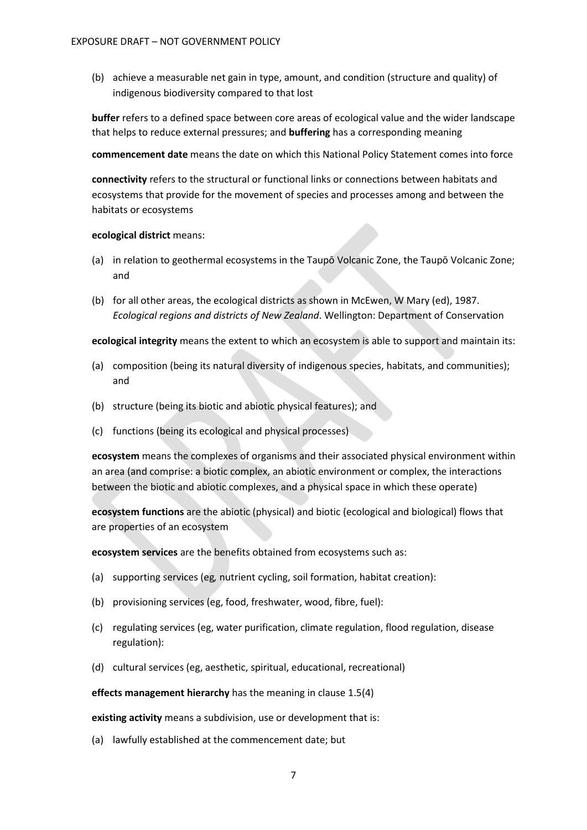(b) achieve a measurable net gain in type, amount, and condition (structure and quality) of indigenous biodiversity compared to that lost

**buffer** refers to a defined space between core areas of ecological value and the wider landscape that helps to reduce external pressures; and **buffering** has a corresponding meaning

**commencement date** means the date on which this National Policy Statement comes into force

**connectivity** refers to the structural or functional links or connections between habitats and ecosystems that provide for the movement of species and processes among and between the habitats or ecosystems

#### **ecological district** means:

- (a) in relation to geothermal ecosystems in the Taupō Volcanic Zone, the Taupō Volcanic Zone; and
- (b) for all other areas, the ecological districts as shown in McEwen, W Mary (ed), 1987. *Ecological regions and districts of New Zealand*. Wellington: Department of Conservation

**ecological integrity** means the extent to which an ecosystem is able to support and maintain its:

- (a) composition (being its natural diversity of indigenous species, habitats, and communities); and
- (b) structure (being its biotic and abiotic physical features); and
- (c) functions (being its ecological and physical processes)

**ecosystem** means the complexes of organisms and their associated physical environment within an area (and comprise: a biotic complex, an abiotic environment or complex, the interactions between the biotic and abiotic complexes, and a physical space in which these operate)

**ecosystem functions** are the abiotic (physical) and biotic (ecological and biological) flows that are properties of an ecosystem

**ecosystem services** are the benefits obtained from ecosystems such as:

- (a) supporting services (eg*,* nutrient cycling, soil formation, habitat creation):
- (b) provisioning services (eg, food, freshwater, wood, fibre, fuel):
- (c) regulating services (eg, water purification, climate regulation, flood regulation, disease regulation):
- (d) cultural services (eg, aesthetic, spiritual, educational, recreational)

**effects management hierarchy** has the meaning in clause 1.5(4)

**existing activity** means a subdivision, use or development that is:

(a) lawfully established at the commencement date; but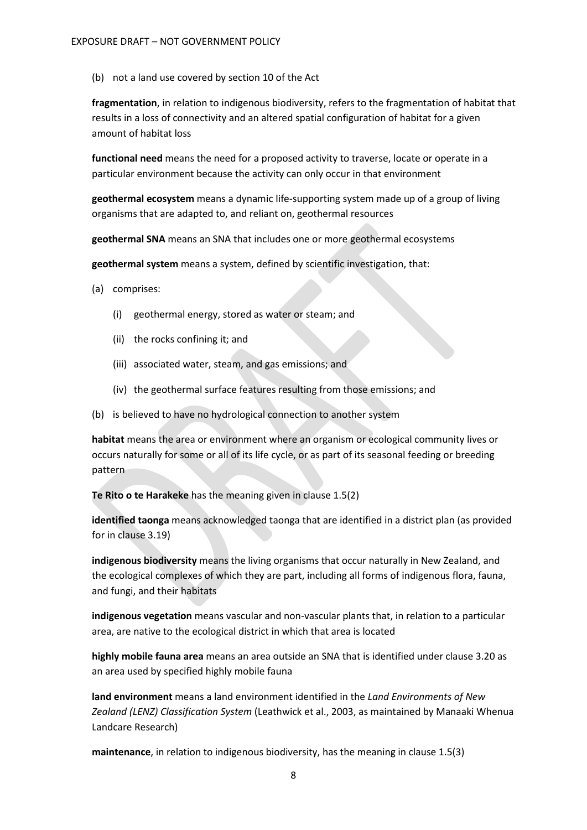(b) not a land use covered by section 10 of the Act

**fragmentation**, in relation to indigenous biodiversity, refers to the fragmentation of habitat that results in a loss of connectivity and an altered spatial configuration of habitat for a given amount of habitat loss

**functional need** means the need for a proposed activity to traverse, locate or operate in a particular environment because the activity can only occur in that environment

**geothermal ecosystem** means a dynamic life-supporting system made up of a group of living organisms that are adapted to, and reliant on, geothermal resources

**geothermal SNA** means an SNA that includes one or more geothermal ecosystems

**geothermal system** means a system, defined by scientific investigation, that:

- (a) comprises:
	- (i) geothermal energy, stored as water or steam; and
	- (ii) the rocks confining it; and
	- (iii) associated water, steam, and gas emissions; and
	- (iv) the geothermal surface features resulting from those emissions; and
- (b) is believed to have no hydrological connection to another system

**habitat** means the area or environment where an organism or ecological community lives or occurs naturally for some or all of its life cycle, or as part of its seasonal feeding or breeding pattern

**Te Rito o te Harakeke** has the meaning given in clause 1.5(2)

**identified taonga** means acknowledged taonga that are identified in a district plan (as provided for in clause 3.19)

**indigenous biodiversity** means the living organisms that occur naturally in New Zealand, and the ecological complexes of which they are part, including all forms of indigenous flora, fauna, and fungi, and their habitats

**indigenous vegetation** means vascular and non-vascular plants that, in relation to a particular area, are native to the ecological district in which that area is located

**highly mobile fauna area** means an area outside an SNA that is identified under clause 3.20 as an area used by specified highly mobile fauna

**land environment** means a land environment identified in the *Land Environments of New Zealand (LENZ) Classification System* (Leathwick et al., 2003, as maintained by Manaaki Whenua Landcare Research)

**maintenance**, in relation to indigenous biodiversity, has the meaning in clause 1.5(3)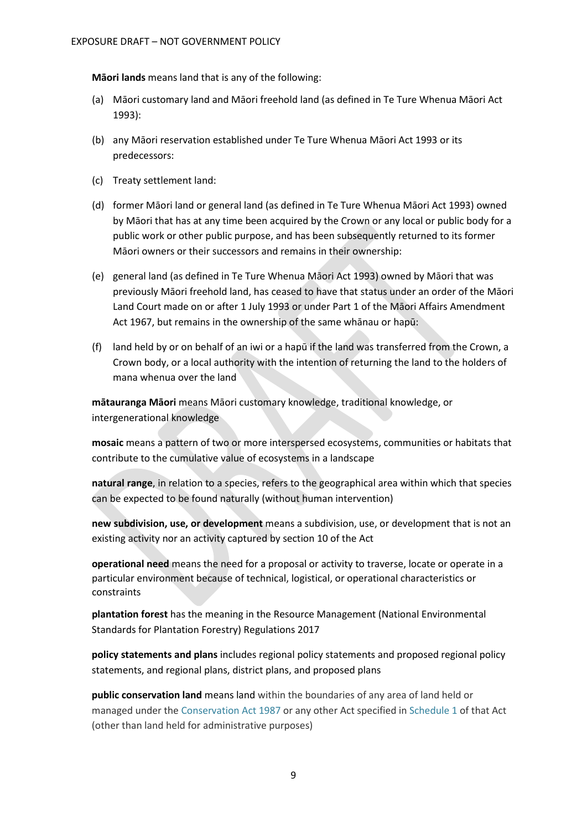**Māori lands** means land that is any of the following:

- (a) Māori customary land and Māori freehold land (as defined in Te Ture Whenua Māori Act 1993):
- (b) any Māori reservation established under Te Ture Whenua Māori Act 1993 or its predecessors:
- (c) Treaty settlement land:
- (d) former Māori land or general land (as defined in Te Ture Whenua Māori Act 1993) owned by Māori that has at any time been acquired by the Crown or any local or public body for a public work or other public purpose, and has been subsequently returned to its former Māori owners or their successors and remains in their ownership:
- (e) general land (as defined in Te Ture Whenua Māori Act 1993) owned by Māori that was previously Māori freehold land, has ceased to have that status under an order of the Māori Land Court made on or after 1 July 1993 or under Part 1 of the Māori Affairs Amendment Act 1967, but remains in the ownership of the same whānau or hapū:
- (f) land held by or on behalf of an iwi or a hapū if the land was transferred from the Crown, a Crown body, or a local authority with the intention of returning the land to the holders of mana whenua over the land

**mātauranga Māori** means Māori customary knowledge, traditional knowledge, or intergenerational knowledge

**mosaic** means a pattern of two or more interspersed ecosystems, communities or habitats that contribute to the cumulative value of ecosystems in a landscape

**natural range**, in relation to a species, refers to the geographical area within which that species can be expected to be found naturally (without human intervention)

**new subdivision, use, or development** means a subdivision, use, or development that is not an existing activity nor an activity captured by section 10 of the Act

**operational need** means the need for a proposal or activity to traverse, locate or operate in a particular environment because of technical, logistical, or operational characteristics or constraints

**plantation forest** has the meaning in the Resource Management (National Environmental Standards for Plantation Forestry) Regulations 2017

**policy statements and plans** includes regional policy statements and proposed regional policy statements, and regional plans, district plans, and proposed plans

**public conservation land** means land within the boundaries of any area of land held or managed under the [Conservation Act 1987](https://www.legislation.govt.nz/act/public/1991/0069/226.0/link.aspx?id=DLM103609) or any other Act specified in [Schedule 1](https://www.legislation.govt.nz/act/public/1991/0069/226.0/link.aspx?id=DLM107200#DLM107200) of that Act (other than land held for administrative purposes)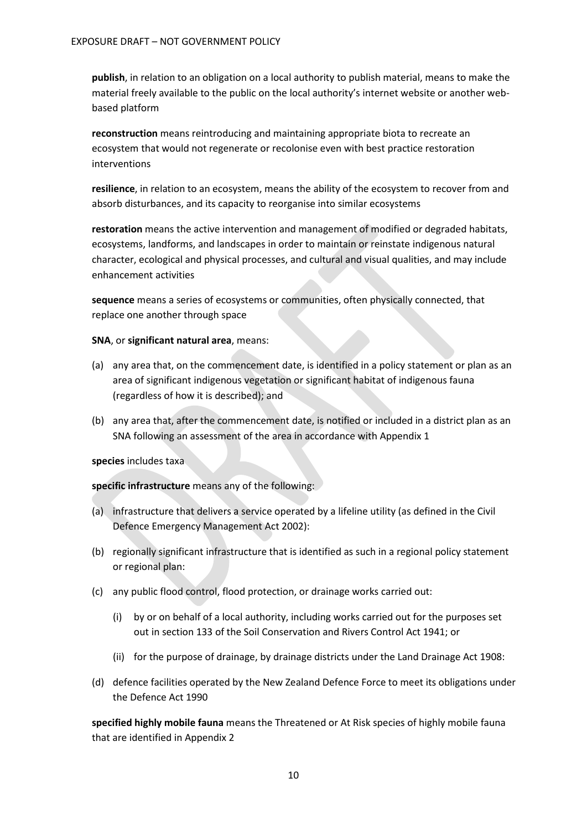**publish**, in relation to an obligation on a local authority to publish material, means to make the material freely available to the public on the local authority's internet website or another webbased platform

**reconstruction** means reintroducing and maintaining appropriate biota to recreate an ecosystem that would not regenerate or recolonise even with best practice restoration interventions

**resilience**, in relation to an ecosystem, means the ability of the ecosystem to recover from and absorb disturbances, and its capacity to reorganise into similar ecosystems

**restoration** means the active intervention and management of modified or degraded habitats, ecosystems, landforms, and landscapes in order to maintain or reinstate indigenous natural character, ecological and physical processes, and cultural and visual qualities, and may include enhancement activities

**sequence** means a series of ecosystems or communities, often physically connected, that replace one another through space

#### **SNA**, or **significant natural area**, means:

- (a) any area that, on the commencement date, is identified in a policy statement or plan as an area of significant indigenous vegetation or significant habitat of indigenous fauna (regardless of how it is described); and
- (b) any area that, after the commencement date, is notified or included in a district plan as an SNA following an assessment of the area in accordance with Appendix 1

#### **species** includes taxa

**specific infrastructure** means any of the following:

- (a) infrastructure that delivers a service operated by a lifeline utility (as defined in the Civil Defence Emergency Management Act 2002):
- (b) regionally significant infrastructure that is identified as such in a regional policy statement or regional plan:
- (c) any public flood control, flood protection, or drainage works carried out:
	- (i) by or on behalf of a local authority, including works carried out for the purposes set out in section 133 of the Soil Conservation and Rivers Control Act 1941; or
	- (ii) for the purpose of drainage, by drainage districts under the Land Drainage Act 1908:
- (d) defence facilities operated by the New Zealand Defence Force to meet its obligations under the Defence Act 1990

**specified highly mobile fauna** means the Threatened or At Risk species of highly mobile fauna that are identified in Appendix 2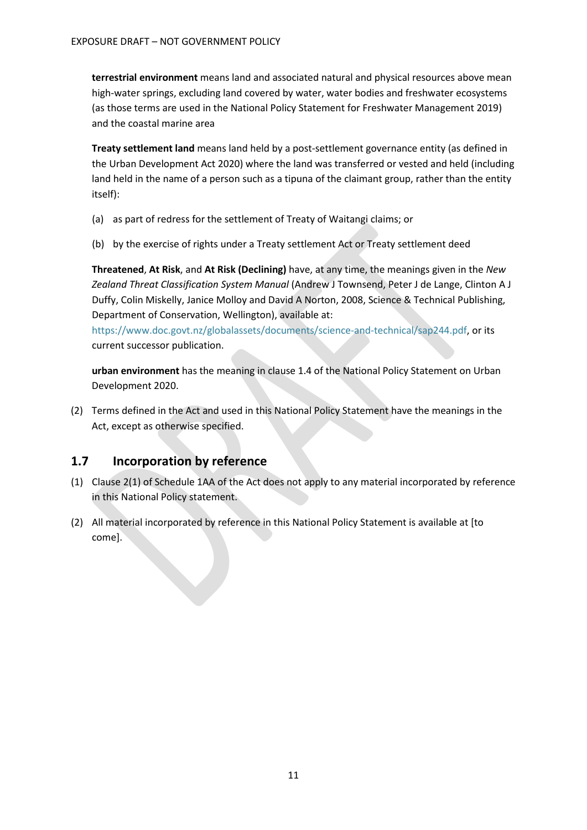**terrestrial environment** means land and associated natural and physical resources above mean high-water springs, excluding land covered by water, water bodies and freshwater ecosystems (as those terms are used in the National Policy Statement for Freshwater Management 2019) and the coastal marine area

**Treaty settlement land** means land held by a post-settlement governance entity (as defined in the Urban Development Act 2020) where the land was transferred or vested and held (including land held in the name of a person such as a tipuna of the claimant group, rather than the entity itself):

- (a) as part of redress for the settlement of Treaty of Waitangi claims; or
- (b) by the exercise of rights under a Treaty settlement Act or Treaty settlement deed

**Threatened**, **At Risk**, and **At Risk (Declining)** have, at any time, the meanings given in the *New Zealand Threat Classification System Manual* (Andrew J Townsend, Peter J de Lange, Clinton A J Duffy, Colin Miskelly, Janice Molloy and David A Norton, 2008, Science & Technical Publishing, Department of Conservation, Wellington), available at:

[https://www.doc.govt.nz/globalassets/documents/science-and-technical/sap244.pdf,](https://www.doc.govt.nz/globalassets/documents/science-and-technical/sap244.pdf) or its current successor publication.

**urban environment** has the meaning in clause 1.4 of the National Policy Statement on Urban Development 2020.

(2) Terms defined in the Act and used in this National Policy Statement have the meanings in the Act, except as otherwise specified.

## <span id="page-10-0"></span>**1.7 Incorporation by reference**

- (1) Clause 2(1) of Schedule 1AA of the Act does not apply to any material incorporated by reference in this National Policy statement.
- (2) All material incorporated by reference in this National Policy Statement is available at [to come].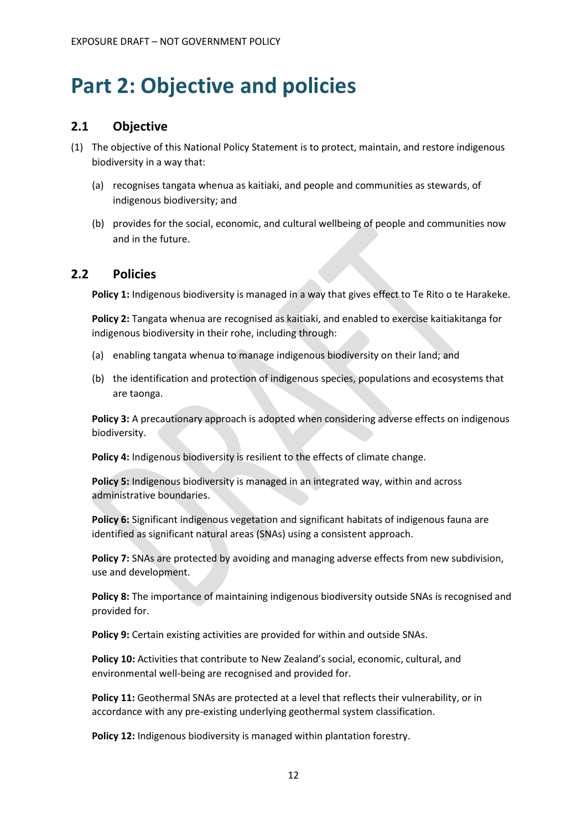## <span id="page-11-0"></span>**Part 2: Objective and policies**

#### <span id="page-11-1"></span>**2.1 Objective**

- (1) The objective of this National Policy Statement is to protect, maintain, and restore indigenous biodiversity in a way that:
	- (a) recognises tangata whenua as kaitiaki, and people and communities as stewards, of indigenous biodiversity; and
	- (b) provides for the social, economic, and cultural wellbeing of people and communities now and in the future.

#### <span id="page-11-2"></span>**2.2 Policies**

**Policy 1:** Indigenous biodiversity is managed in a way that gives effect to Te Rito o te Harakeke.

**Policy 2:** Tangata whenua are recognised as kaitiaki, and enabled to exercise kaitiakitanga for indigenous biodiversity in their rohe, including through:

- (a) enabling tangata whenua to manage indigenous biodiversity on their land; and
- (b) the identification and protection of indigenous species, populations and ecosystems that are taonga.

Policy 3: A precautionary approach is adopted when considering adverse effects on indigenous biodiversity.

Policy 4: Indigenous biodiversity is resilient to the effects of climate change.

**Policy 5:** Indigenous biodiversity is managed in an integrated way, within and across administrative boundaries.

**Policy 6:** Significant indigenous vegetation and significant habitats of indigenous fauna are identified as significant natural areas (SNAs) using a consistent approach.

**Policy 7:** SNAs are protected by avoiding and managing adverse effects from new subdivision, use and development.

**Policy 8:** The importance of maintaining indigenous biodiversity outside SNAs is recognised and provided for.

**Policy 9:** Certain existing activities are provided for within and outside SNAs.

**Policy 10:** Activities that contribute to New Zealand's social, economic, cultural, and environmental well-being are recognised and provided for.

**Policy 11:** Geothermal SNAs are protected at a level that reflects their vulnerability, or in accordance with any pre-existing underlying geothermal system classification.

**Policy 12:** Indigenous biodiversity is managed within plantation forestry.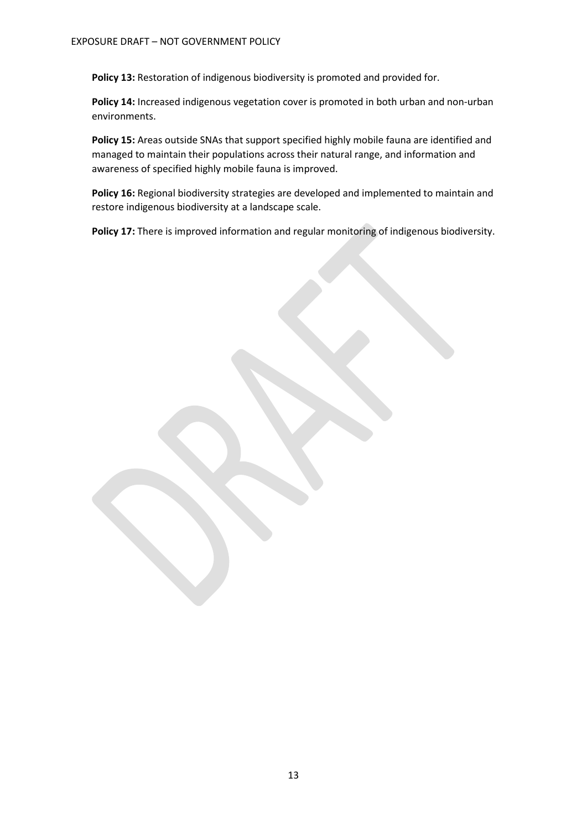**Policy 13:** Restoration of indigenous biodiversity is promoted and provided for.

**Policy 14:** Increased indigenous vegetation cover is promoted in both urban and non-urban environments.

**Policy 15:** Areas outside SNAs that support specified highly mobile fauna are identified and managed to maintain their populations across their natural range, and information and awareness of specified highly mobile fauna is improved.

**Policy 16:** Regional biodiversity strategies are developed and implemented to maintain and restore indigenous biodiversity at a landscape scale.

**Policy 17:** There is improved information and regular monitoring of indigenous biodiversity.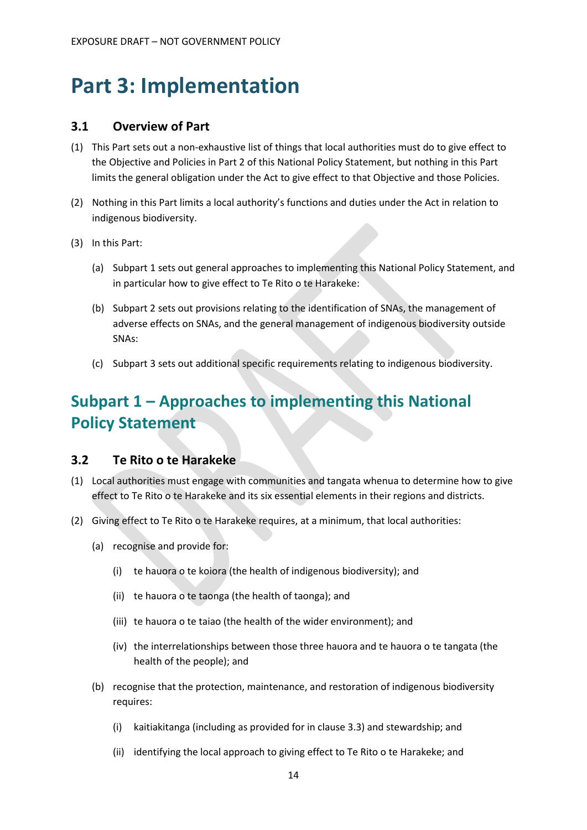## <span id="page-13-0"></span>**Part 3: Implementation**

#### <span id="page-13-1"></span>**3.1 Overview of Part**

- (1) This Part sets out a non-exhaustive list of things that local authorities must do to give effect to the Objective and Policies in Part 2 of this National Policy Statement, but nothing in this Part limits the general obligation under the Act to give effect to that Objective and those Policies.
- (2) Nothing in this Part limits a local authority's functions and duties under the Act in relation to indigenous biodiversity.
- (3) In this Part:
	- (a) Subpart 1 sets out general approaches to implementing this National Policy Statement, and in particular how to give effect to Te Rito o te Harakeke:
	- (b) Subpart 2 sets out provisions relating to the identification of SNAs, the management of adverse effects on SNAs, and the general management of indigenous biodiversity outside SNAs:
	- (c) Subpart 3 sets out additional specific requirements relating to indigenous biodiversity.

## <span id="page-13-2"></span>**Subpart 1 – Approaches to implementing this National Policy Statement**

#### <span id="page-13-3"></span>**3.2 Te Rito o te Harakeke**

- (1) Local authorities must engage with communities and tangata whenua to determine how to give effect to Te Rito o te Harakeke and its six essential elements in their regions and districts.
- (2) Giving effect to Te Rito o te Harakeke requires, at a minimum, that local authorities:
	- (a) recognise and provide for:
		- (i) te hauora o te koiora (the health of indigenous biodiversity); and
		- (ii) te hauora o te taonga (the health of taonga); and
		- (iii) te hauora o te taiao (the health of the wider environment); and
		- (iv) the interrelationships between those three hauora and te hauora o te tangata (the health of the people); and
	- (b) recognise that the protection, maintenance, and restoration of indigenous biodiversity requires:
		- (i) kaitiakitanga (including as provided for in clause 3.3) and stewardship; and
		- (ii) identifying the local approach to giving effect to Te Rito o te Harakeke; and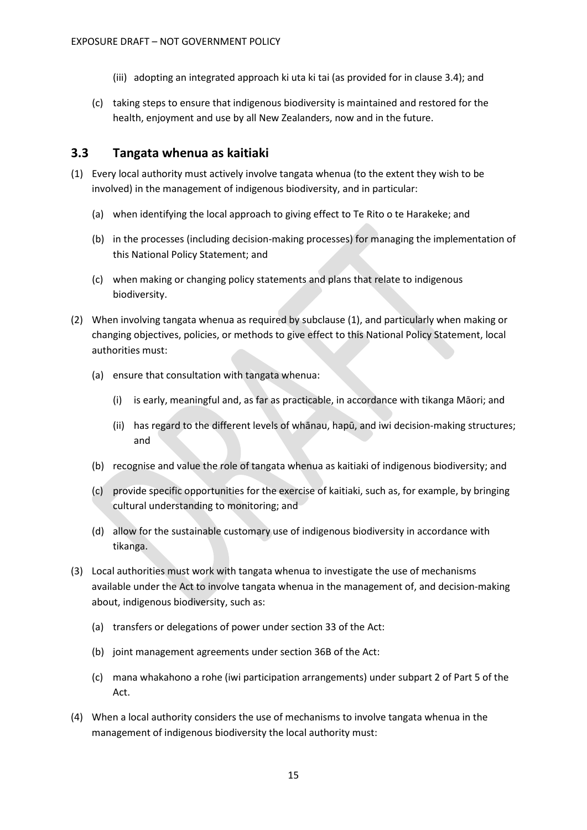- (iii) adopting an integrated approach ki uta ki tai (as provided for in clause 3.4); and
- (c) taking steps to ensure that indigenous biodiversity is maintained and restored for the health, enjoyment and use by all New Zealanders, now and in the future.

#### <span id="page-14-0"></span>**3.3 Tangata whenua as kaitiaki**

- (1) Every local authority must actively involve tangata whenua (to the extent they wish to be involved) in the management of indigenous biodiversity, and in particular:
	- (a) when identifying the local approach to giving effect to Te Rito o te Harakeke; and
	- (b) in the processes (including decision-making processes) for managing the implementation of this National Policy Statement; and
	- (c) when making or changing policy statements and plans that relate to indigenous biodiversity.
- (2) When involving tangata whenua as required by subclause (1), and particularly when making or changing objectives, policies, or methods to give effect to this National Policy Statement, local authorities must:
	- (a) ensure that consultation with tangata whenua:
		- (i) is early, meaningful and, as far as practicable, in accordance with tikanga Māori; and
		- (ii) has regard to the different levels of whānau, hapū, and iwi decision-making structures; and
	- (b) recognise and value the role of tangata whenua as kaitiaki of indigenous biodiversity; and
	- (c) provide specific opportunities for the exercise of kaitiaki, such as, for example, by bringing cultural understanding to monitoring; and
	- (d) allow for the sustainable customary use of indigenous biodiversity in accordance with tikanga.
- (3) Local authorities must work with tangata whenua to investigate the use of mechanisms available under the Act to involve tangata whenua in the management of, and decision-making about, indigenous biodiversity, such as:
	- (a) transfers or delegations of power under section 33 of the Act:
	- (b) joint management agreements under section 36B of the Act:
	- (c) mana whakahono a rohe (iwi participation arrangements) under subpart 2 of Part 5 of the Act.
- (4) When a local authority considers the use of mechanisms to involve tangata whenua in the management of indigenous biodiversity the local authority must: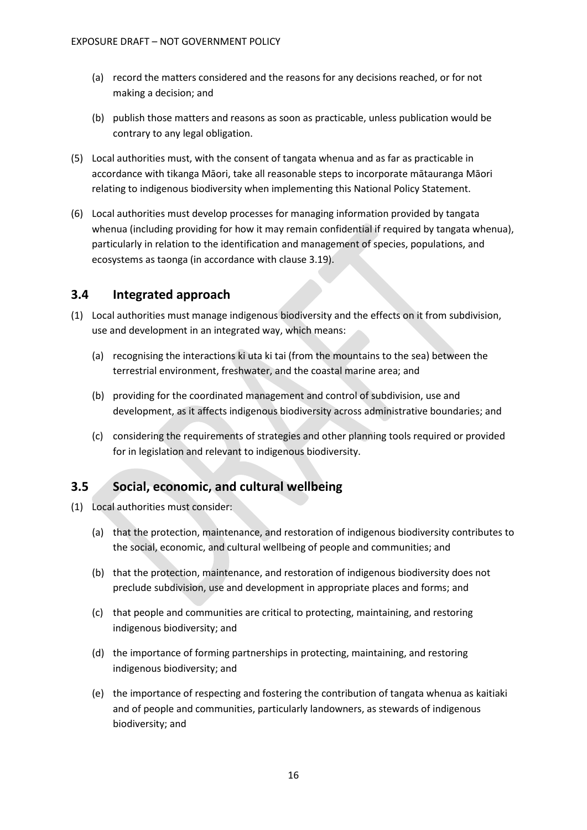- (a) record the matters considered and the reasons for any decisions reached, or for not making a decision; and
- (b) publish those matters and reasons as soon as practicable, unless publication would be contrary to any legal obligation.
- (5) Local authorities must, with the consent of tangata whenua and as far as practicable in accordance with tikanga Māori, take all reasonable steps to incorporate mātauranga Māori relating to indigenous biodiversity when implementing this National Policy Statement.
- (6) Local authorities must develop processes for managing information provided by tangata whenua (including providing for how it may remain confidential if required by tangata whenua), particularly in relation to the identification and management of species, populations, and ecosystems as taonga (in accordance with clause 3.19).

## <span id="page-15-0"></span>**3.4 Integrated approach**

- (1) Local authorities must manage indigenous biodiversity and the effects on it from subdivision, use and development in an integrated way, which means:
	- (a) recognising the interactions ki uta ki tai (from the mountains to the sea) between the terrestrial environment, freshwater, and the coastal marine area; and
	- (b) providing for the coordinated management and control of subdivision, use and development, as it affects indigenous biodiversity across administrative boundaries; and
	- (c) considering the requirements of strategies and other planning tools required or provided for in legislation and relevant to indigenous biodiversity.

## <span id="page-15-1"></span>**3.5 Social, economic, and cultural wellbeing**

- (1) Local authorities must consider:
	- (a) that the protection, maintenance, and restoration of indigenous biodiversity contributes to the social, economic, and cultural wellbeing of people and communities; and
	- (b) that the protection, maintenance, and restoration of indigenous biodiversity does not preclude subdivision, use and development in appropriate places and forms; and
	- (c) that people and communities are critical to protecting, maintaining, and restoring indigenous biodiversity; and
	- (d) the importance of forming partnerships in protecting, maintaining, and restoring indigenous biodiversity; and
	- (e) the importance of respecting and fostering the contribution of tangata whenua as kaitiaki and of people and communities, particularly landowners, as stewards of indigenous biodiversity; and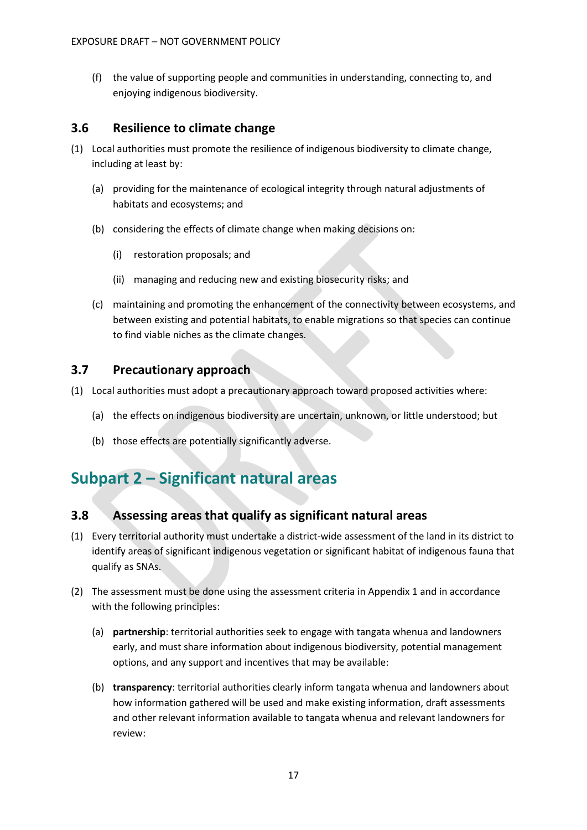(f) the value of supporting people and communities in understanding, connecting to, and enjoying indigenous biodiversity.

#### <span id="page-16-0"></span>**3.6 Resilience to climate change**

- (1) Local authorities must promote the resilience of indigenous biodiversity to climate change, including at least by:
	- (a) providing for the maintenance of ecological integrity through natural adjustments of habitats and ecosystems; and
	- (b) considering the effects of climate change when making decisions on:
		- (i) restoration proposals; and
		- (ii) managing and reducing new and existing biosecurity risks; and
	- (c) maintaining and promoting the enhancement of the connectivity between ecosystems, and between existing and potential habitats, to enable migrations so that species can continue to find viable niches as the climate changes.

## <span id="page-16-1"></span>**3.7 Precautionary approach**

- (1) Local authorities must adopt a precautionary approach toward proposed activities where:
	- (a) the effects on indigenous biodiversity are uncertain, unknown, or little understood; but
	- (b) those effects are potentially significantly adverse.

## <span id="page-16-2"></span>**Subpart 2 – Significant natural areas**

#### <span id="page-16-3"></span>**3.8 Assessing areas that qualify as significant natural areas**

- (1) Every territorial authority must undertake a district-wide assessment of the land in its district to identify areas of significant indigenous vegetation or significant habitat of indigenous fauna that qualify as SNAs.
- (2) The assessment must be done using the assessment criteria in Appendix 1 and in accordance with the following principles:
	- (a) **partnership**: territorial authorities seek to engage with tangata whenua and landowners early, and must share information about indigenous biodiversity, potential management options, and any support and incentives that may be available:
	- (b) **transparency**: territorial authorities clearly inform tangata whenua and landowners about how information gathered will be used and make existing information, draft assessments and other relevant information available to tangata whenua and relevant landowners for review: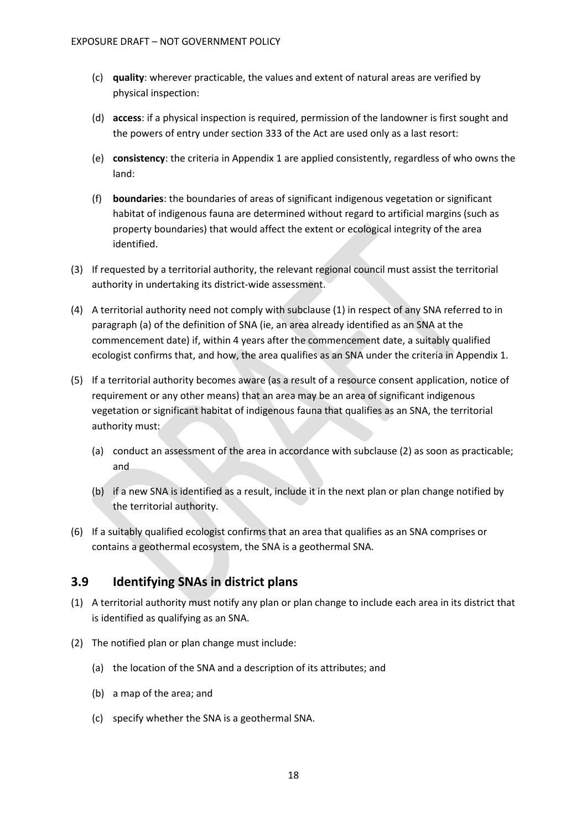- (c) **quality**: wherever practicable, the values and extent of natural areas are verified by physical inspection:
- (d) **access**: if a physical inspection is required, permission of the landowner is first sought and the powers of entry under section 333 of the Act are used only as a last resort:
- (e) **consistency**: the criteria in Appendix 1 are applied consistently, regardless of who owns the land:
- (f) **boundaries**: the boundaries of areas of significant indigenous vegetation or significant habitat of indigenous fauna are determined without regard to artificial margins (such as property boundaries) that would affect the extent or ecological integrity of the area identified.
- (3) If requested by a territorial authority, the relevant regional council must assist the territorial authority in undertaking its district-wide assessment.
- (4) A territorial authority need not comply with subclause (1) in respect of any SNA referred to in paragraph (a) of the definition of SNA (ie, an area already identified as an SNA at the commencement date) if, within 4 years after the commencement date, a suitably qualified ecologist confirms that, and how, the area qualifies as an SNA under the criteria in Appendix 1.
- (5) If a territorial authority becomes aware (as a result of a resource consent application, notice of requirement or any other means) that an area may be an area of significant indigenous vegetation or significant habitat of indigenous fauna that qualifies as an SNA, the territorial authority must:
	- (a) conduct an assessment of the area in accordance with subclause (2) as soon as practicable; and
	- (b) if a new SNA is identified as a result, include it in the next plan or plan change notified by the territorial authority.
- (6) If a suitably qualified ecologist confirms that an area that qualifies as an SNA comprises or contains a geothermal ecosystem, the SNA is a geothermal SNA.

#### <span id="page-17-0"></span>**3.9 Identifying SNAs in district plans**

- (1) A territorial authority must notify any plan or plan change to include each area in its district that is identified as qualifying as an SNA.
- (2) The notified plan or plan change must include:
	- (a) the location of the SNA and a description of its attributes; and
	- (b) a map of the area; and
	- (c) specify whether the SNA is a geothermal SNA.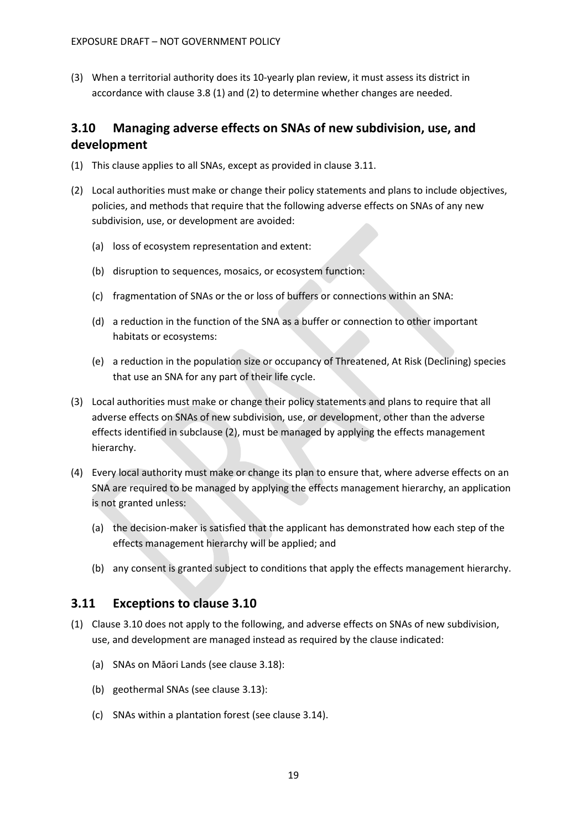(3) When a territorial authority does its 10-yearly plan review, it must assess its district in accordance with clause 3.8 (1) and (2) to determine whether changes are needed.

#### <span id="page-18-0"></span>**3.10 Managing adverse effects on SNAs of new subdivision, use, and development**

- (1) This clause applies to all SNAs, except as provided in clause 3.11.
- (2) Local authorities must make or change their policy statements and plans to include objectives, policies, and methods that require that the following adverse effects on SNAs of any new subdivision, use, or development are avoided:
	- (a) loss of ecosystem representation and extent:
	- (b) disruption to sequences, mosaics, or ecosystem function:
	- (c) fragmentation of SNAs or the or loss of buffers or connections within an SNA:
	- (d) a reduction in the function of the SNA as a buffer or connection to other important habitats or ecosystems:
	- (e) a reduction in the population size or occupancy of Threatened, At Risk (Declining) species that use an SNA for any part of their life cycle.
- (3) Local authorities must make or change their policy statements and plans to require that all adverse effects on SNAs of new subdivision, use, or development, other than the adverse effects identified in subclause (2), must be managed by applying the effects management hierarchy.
- (4) Every local authority must make or change its plan to ensure that, where adverse effects on an SNA are required to be managed by applying the effects management hierarchy, an application is not granted unless:
	- (a) the decision-maker is satisfied that the applicant has demonstrated how each step of the effects management hierarchy will be applied; and
	- (b) any consent is granted subject to conditions that apply the effects management hierarchy.

#### <span id="page-18-1"></span>**3.11 Exceptions to clause 3.10**

- (1) Clause 3.10 does not apply to the following, and adverse effects on SNAs of new subdivision, use, and development are managed instead as required by the clause indicated:
	- (a) SNAs on Māori Lands (see clause 3.18):
	- (b) geothermal SNAs (see clause 3.13):
	- (c) SNAs within a plantation forest (see clause 3.14).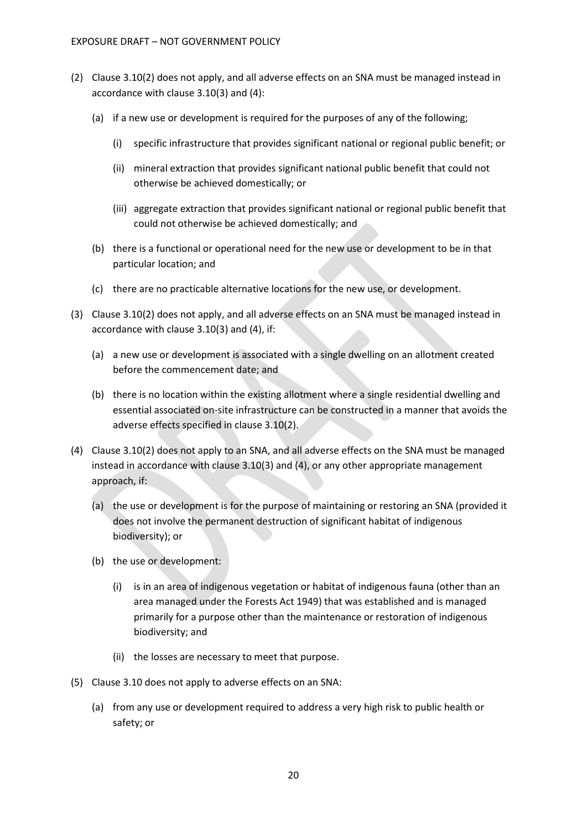- (2) Clause 3.10(2) does not apply, and all adverse effects on an SNA must be managed instead in accordance with clause 3.10(3) and (4):
	- (a) if a new use or development is required for the purposes of any of the following;
		- (i) specific infrastructure that provides significant national or regional public benefit; or
		- (ii) mineral extraction that provides significant national public benefit that could not otherwise be achieved domestically; or
		- (iii) aggregate extraction that provides significant national or regional public benefit that could not otherwise be achieved domestically; and
	- (b) there is a functional or operational need for the new use or development to be in that particular location; and
	- (c) there are no practicable alternative locations for the new use, or development.
- (3) Clause 3.10(2) does not apply, and all adverse effects on an SNA must be managed instead in accordance with clause 3.10(3) and (4), if:
	- (a) a new use or development is associated with a single dwelling on an allotment created before the commencement date; and
	- (b) there is no location within the existing allotment where a single residential dwelling and essential associated on-site infrastructure can be constructed in a manner that avoids the adverse effects specified in clause 3.10(2).
- (4) Clause 3.10(2) does not apply to an SNA, and all adverse effects on the SNA must be managed instead in accordance with clause 3.10(3) and (4), or any other appropriate management approach, if:
	- (a) the use or development is for the purpose of maintaining or restoring an SNA (provided it does not involve the permanent destruction of significant habitat of indigenous biodiversity); or
	- (b) the use or development:
		- (i) is in an area of indigenous vegetation or habitat of indigenous fauna (other than an area managed under the Forests Act 1949) that was established and is managed primarily for a purpose other than the maintenance or restoration of indigenous biodiversity; and
		- (ii) the losses are necessary to meet that purpose.
- (5) Clause 3.10 does not apply to adverse effects on an SNA:
	- (a) from any use or development required to address a very high risk to public health or safety; or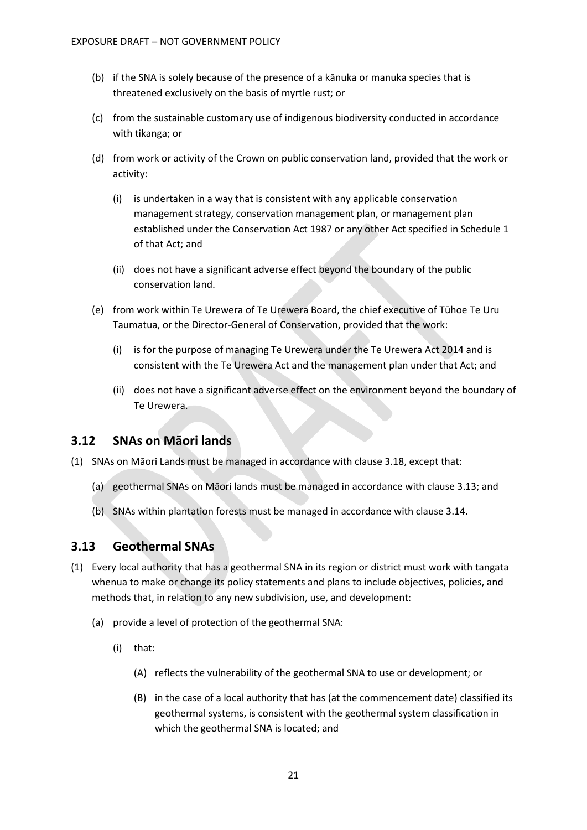- (b) if the SNA is solely because of the presence of a kānuka or manuka species that is threatened exclusively on the basis of myrtle rust; or
- (c) from the sustainable customary use of indigenous biodiversity conducted in accordance with tikanga; or
- (d) from work or activity of the Crown on public conservation land, provided that the work or activity:
	- (i) is undertaken in a way that is consistent with any applicable conservation management strategy, conservation management plan, or management plan established under th[e Conservation Act 1987](https://www.legislation.govt.nz/act/public/1991/0069/226.0/link.aspx?id=DLM103609) or any other Act specified in [Schedule 1](https://www.legislation.govt.nz/act/public/1991/0069/226.0/link.aspx?id=DLM107200#DLM107200) of that Act; and
	- (ii) does not have a significant adverse effect beyond the boundary of the public conservation land.
- (e) from work within Te Urewera of Te Urewera Board, the chief executive of Tūhoe Te Uru Taumatua, or the Director-General of Conservation, provided that the work:
	- (i) is for the purpose of managing Te Urewera under the Te Urewera Act 2014 and is consistent with the Te Urewera Act and the management plan under that Act; and
	- (ii) does not have a significant adverse effect on the environment beyond the boundary of Te Urewera.

#### <span id="page-20-0"></span>**3.12 SNAs on Māori lands**

- (1) SNAs on Māori Lands must be managed in accordance with clause 3.18, except that:
	- (a) geothermal SNAs on Māori lands must be managed in accordance with clause 3.13; and
	- (b) SNAs within plantation forests must be managed in accordance with clause 3.14.

#### <span id="page-20-1"></span>**3.13 Geothermal SNAs**

- (1) Every local authority that has a geothermal SNA in its region or district must work with tangata whenua to make or change its policy statements and plans to include objectives, policies, and methods that, in relation to any new subdivision, use, and development:
	- (a) provide a level of protection of the geothermal SNA:
		- (i) that:
			- (A) reflects the vulnerability of the geothermal SNA to use or development; or
			- (B) in the case of a local authority that has (at the commencement date) classified its geothermal systems, is consistent with the geothermal system classification in which the geothermal SNA is located; and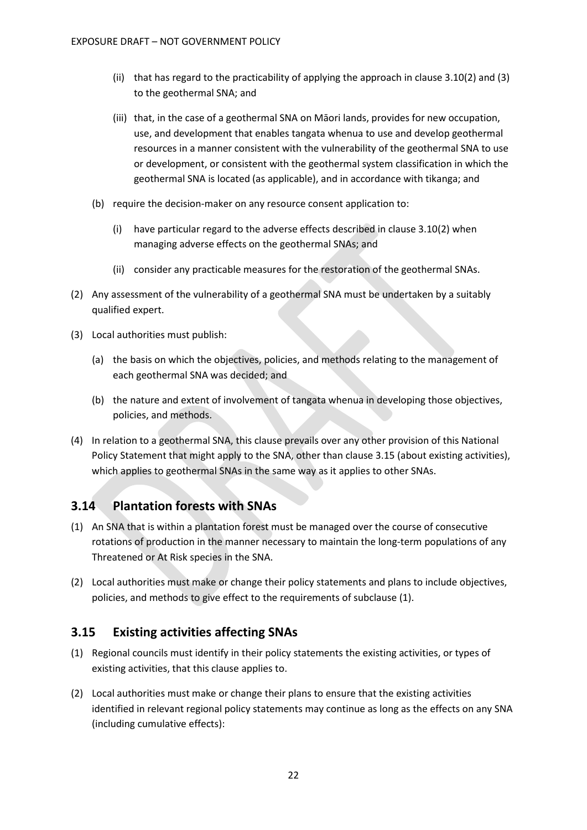- (ii) that has regard to the practicability of applying the approach in clause 3.10(2) and (3) to the geothermal SNA; and
- (iii) that, in the case of a geothermal SNA on Māori lands, provides for new occupation, use, and development that enables tangata whenua to use and develop geothermal resources in a manner consistent with the vulnerability of the geothermal SNA to use or development, or consistent with the geothermal system classification in which the geothermal SNA is located (as applicable), and in accordance with tikanga; and
- (b) require the decision-maker on any resource consent application to:
	- (i) have particular regard to the adverse effects described in clause 3.10(2) when managing adverse effects on the geothermal SNAs; and
	- (ii) consider any practicable measures for the restoration of the geothermal SNAs.
- (2) Any assessment of the vulnerability of a geothermal SNA must be undertaken by a suitably qualified expert.
- (3) Local authorities must publish:
	- (a) the basis on which the objectives, policies, and methods relating to the management of each geothermal SNA was decided; and
	- (b) the nature and extent of involvement of tangata whenua in developing those objectives, policies, and methods.
- (4) In relation to a geothermal SNA, this clause prevails over any other provision of this National Policy Statement that might apply to the SNA, other than clause 3.15 (about existing activities), which applies to geothermal SNAs in the same way as it applies to other SNAs.

## <span id="page-21-0"></span>**3.14 Plantation forests with SNAs**

- (1) An SNA that is within a plantation forest must be managed over the course of consecutive rotations of production in the manner necessary to maintain the long-term populations of any Threatened or At Risk species in the SNA.
- (2) Local authorities must make or change their policy statements and plans to include objectives, policies, and methods to give effect to the requirements of subclause (1).

## <span id="page-21-1"></span>**3.15 Existing activities affecting SNAs**

- (1) Regional councils must identify in their policy statements the existing activities, or types of existing activities, that this clause applies to.
- (2) Local authorities must make or change their plans to ensure that the existing activities identified in relevant regional policy statements may continue as long as the effects on any SNA (including cumulative effects):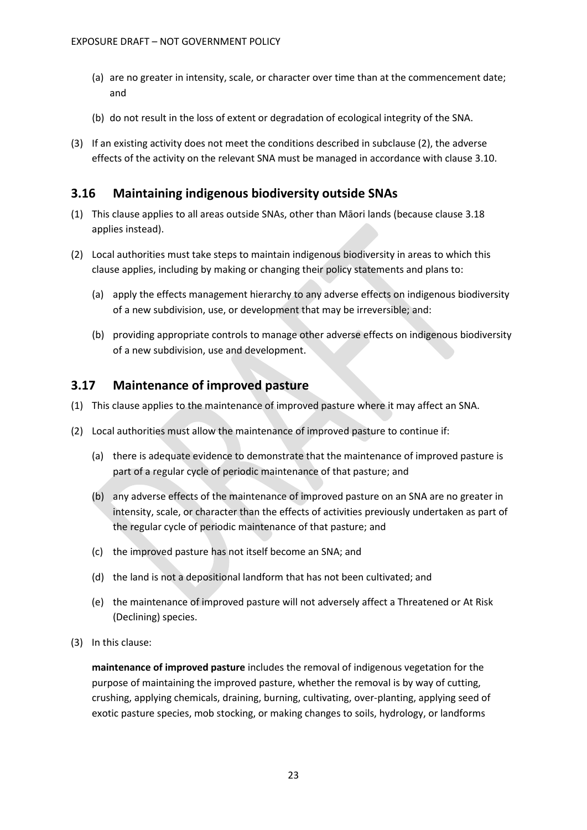- (a) are no greater in intensity, scale, or character over time than at the commencement date; and
- (b) do not result in the loss of extent or degradation of ecological integrity of the SNA.
- (3) If an existing activity does not meet the conditions described in subclause (2), the adverse effects of the activity on the relevant SNA must be managed in accordance with clause 3.10.

#### <span id="page-22-0"></span>**3.16 Maintaining indigenous biodiversity outside SNAs**

- (1) This clause applies to all areas outside SNAs, other than Māori lands (because clause 3.18 applies instead).
- (2) Local authorities must take steps to maintain indigenous biodiversity in areas to which this clause applies, including by making or changing their policy statements and plans to:
	- (a) apply the effects management hierarchy to any adverse effects on indigenous biodiversity of a new subdivision, use, or development that may be irreversible; and:
	- (b) providing appropriate controls to manage other adverse effects on indigenous biodiversity of a new subdivision, use and development.

#### <span id="page-22-1"></span>**3.17 Maintenance of improved pasture**

- (1) This clause applies to the maintenance of improved pasture where it may affect an SNA.
- (2) Local authorities must allow the maintenance of improved pasture to continue if:
	- (a) there is adequate evidence to demonstrate that the maintenance of improved pasture is part of a regular cycle of periodic maintenance of that pasture; and
	- (b) any adverse effects of the maintenance of improved pasture on an SNA are no greater in intensity, scale, or character than the effects of activities previously undertaken as part of the regular cycle of periodic maintenance of that pasture; and
	- (c) the improved pasture has not itself become an SNA; and
	- (d) the land is not a depositional landform that has not been cultivated; and
	- (e) the maintenance of improved pasture will not adversely affect a Threatened or At Risk (Declining) species.
- (3) In this clause:

**maintenance of improved pasture** includes the removal of indigenous vegetation for the purpose of maintaining the improved pasture, whether the removal is by way of cutting, crushing, applying chemicals, draining, burning, cultivating, over-planting, applying seed of exotic pasture species, mob stocking, or making changes to soils, hydrology, or landforms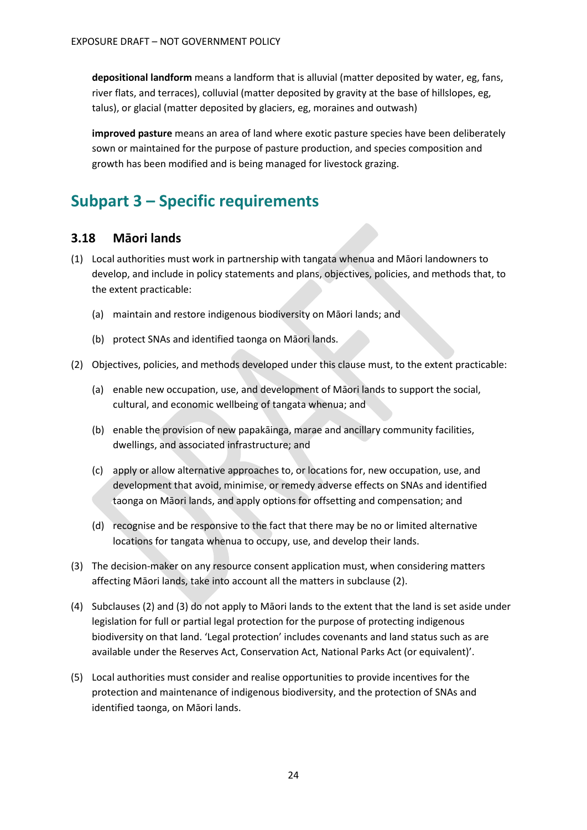**depositional landform** means a landform that is alluvial (matter deposited by water, eg, fans, river flats, and terraces), colluvial (matter deposited by gravity at the base of hillslopes, eg, talus), or glacial (matter deposited by glaciers, eg, moraines and outwash)

**improved pasture** means an area of land where exotic pasture species have been deliberately sown or maintained for the purpose of pasture production, and species composition and growth has been modified and is being managed for livestock grazing.

## <span id="page-23-0"></span>**Subpart 3 – Specific requirements**

#### <span id="page-23-1"></span>**3.18 Māori lands**

- (1) Local authorities must work in partnership with tangata whenua and Māori landowners to develop, and include in policy statements and plans, objectives, policies, and methods that, to the extent practicable:
	- (a) maintain and restore indigenous biodiversity on Māori lands; and
	- (b) protect SNAs and identified taonga on Māori lands.
- (2) Objectives, policies, and methods developed under this clause must, to the extent practicable:
	- (a) enable new occupation, use, and development of Māori lands to support the social, cultural, and economic wellbeing of tangata whenua; and
	- (b) enable the provision of new papakāinga, marae and ancillary community facilities, dwellings, and associated infrastructure; and
	- (c) apply or allow alternative approaches to, or locations for, new occupation, use, and development that avoid, minimise, or remedy adverse effects on SNAs and identified taonga on Māori lands, and apply options for offsetting and compensation; and
	- (d) recognise and be responsive to the fact that there may be no or limited alternative locations for tangata whenua to occupy, use, and develop their lands.
- (3) The decision-maker on any resource consent application must, when considering matters affecting Māori lands, take into account all the matters in subclause (2).
- (4) Subclauses (2) and (3) do not apply to Māori lands to the extent that the land is set aside under legislation for full or partial legal protection for the purpose of protecting indigenous biodiversity on that land. 'Legal protection' includes covenants and land status such as are available under the Reserves Act, Conservation Act, National Parks Act (or equivalent)'.
- (5) Local authorities must consider and realise opportunities to provide incentives for the protection and maintenance of indigenous biodiversity, and the protection of SNAs and identified taonga, on Māori lands.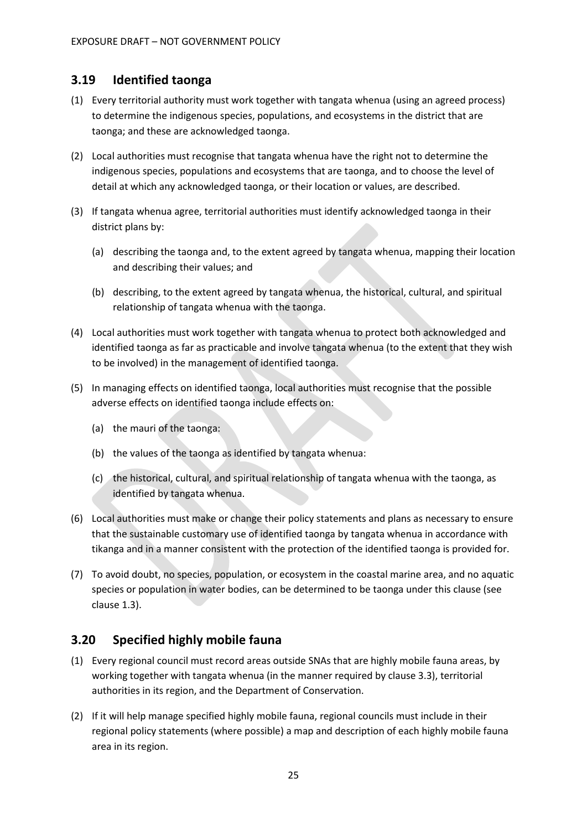## <span id="page-24-0"></span>**3.19 Identified taonga**

- (1) Every territorial authority must work together with tangata whenua (using an agreed process) to determine the indigenous species, populations, and ecosystems in the district that are taonga; and these are acknowledged taonga.
- (2) Local authorities must recognise that tangata whenua have the right not to determine the indigenous species, populations and ecosystems that are taonga, and to choose the level of detail at which any acknowledged taonga, or their location or values, are described.
- (3) If tangata whenua agree, territorial authorities must identify acknowledged taonga in their district plans by:
	- (a) describing the taonga and, to the extent agreed by tangata whenua, mapping their location and describing their values; and
	- (b) describing, to the extent agreed by tangata whenua, the historical, cultural, and spiritual relationship of tangata whenua with the taonga.
- (4) Local authorities must work together with tangata whenua to protect both acknowledged and identified taonga as far as practicable and involve tangata whenua (to the extent that they wish to be involved) in the management of identified taonga.
- (5) In managing effects on identified taonga, local authorities must recognise that the possible adverse effects on identified taonga include effects on:
	- (a) the mauri of the taonga:
	- (b) the values of the taonga as identified by tangata whenua:
	- (c) the historical, cultural, and spiritual relationship of tangata whenua with the taonga, as identified by tangata whenua.
- (6) Local authorities must make or change their policy statements and plans as necessary to ensure that the sustainable customary use of identified taonga by tangata whenua in accordance with tikanga and in a manner consistent with the protection of the identified taonga is provided for.
- (7) To avoid doubt, no species, population, or ecosystem in the coastal marine area, and no aquatic species or population in water bodies, can be determined to be taonga under this clause (see clause 1.3).

## <span id="page-24-1"></span>**3.20 Specified highly mobile fauna**

- (1) Every regional council must record areas outside SNAs that are highly mobile fauna areas, by working together with tangata whenua (in the manner required by clause 3.3), territorial authorities in its region, and the Department of Conservation.
- (2) If it will help manage specified highly mobile fauna, regional councils must include in their regional policy statements (where possible) a map and description of each highly mobile fauna area in its region.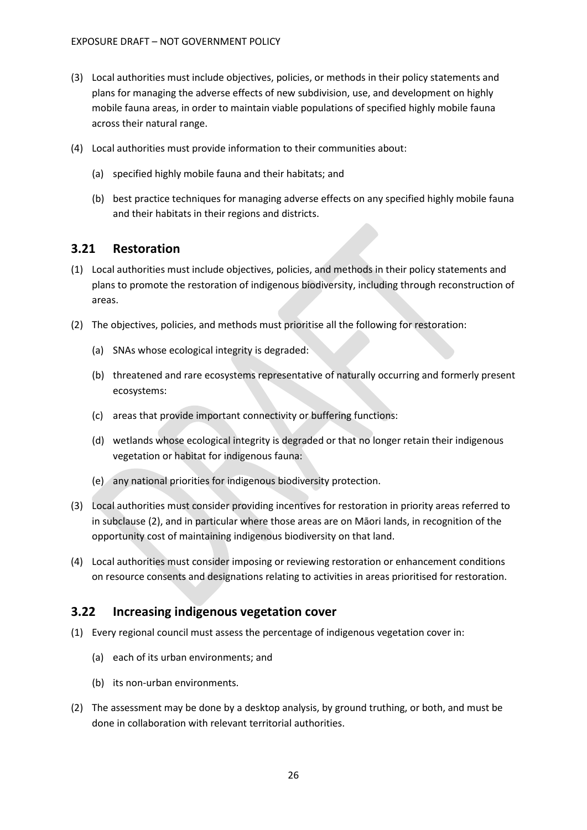- (3) Local authorities must include objectives, policies, or methods in their policy statements and plans for managing the adverse effects of new subdivision, use, and development on highly mobile fauna areas, in order to maintain viable populations of specified highly mobile fauna across their natural range.
- (4) Local authorities must provide information to their communities about:
	- (a) specified highly mobile fauna and their habitats; and
	- (b) best practice techniques for managing adverse effects on any specified highly mobile fauna and their habitats in their regions and districts.

#### <span id="page-25-0"></span>**3.21 Restoration**

- (1) Local authorities must include objectives, policies, and methods in their policy statements and plans to promote the restoration of indigenous biodiversity, including through reconstruction of areas.
- (2) The objectives, policies, and methods must prioritise all the following for restoration:
	- (a) SNAs whose ecological integrity is degraded:
	- (b) threatened and rare ecosystems representative of naturally occurring and formerly present ecosystems:
	- (c) areas that provide important connectivity or buffering functions:
	- (d) wetlands whose ecological integrity is degraded or that no longer retain their indigenous vegetation or habitat for indigenous fauna:
	- (e) any national priorities for indigenous biodiversity protection.
- (3) Local authorities must consider providing incentives for restoration in priority areas referred to in subclause (2), and in particular where those areas are on Māori lands, in recognition of the opportunity cost of maintaining indigenous biodiversity on that land.
- (4) Local authorities must consider imposing or reviewing restoration or enhancement conditions on resource consents and designations relating to activities in areas prioritised for restoration.

#### <span id="page-25-1"></span>**3.22 Increasing indigenous vegetation cover**

- (1) Every regional council must assess the percentage of indigenous vegetation cover in:
	- (a) each of its urban environments; and
	- (b) its non-urban environments.
- (2) The assessment may be done by a desktop analysis, by ground truthing, or both, and must be done in collaboration with relevant territorial authorities.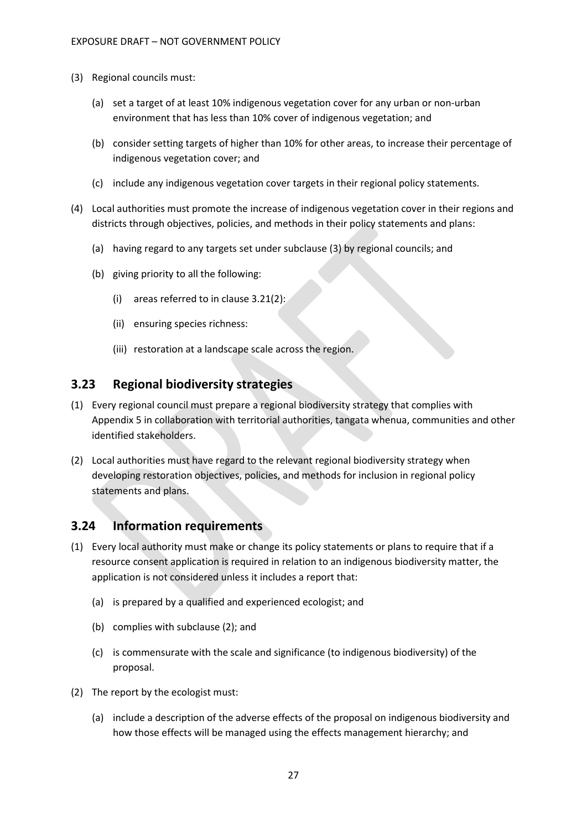- (3) Regional councils must:
	- (a) set a target of at least 10% indigenous vegetation cover for any urban or non-urban environment that has less than 10% cover of indigenous vegetation; and
	- (b) consider setting targets of higher than 10% for other areas, to increase their percentage of indigenous vegetation cover; and
	- (c) include any indigenous vegetation cover targets in their regional policy statements.
- (4) Local authorities must promote the increase of indigenous vegetation cover in their regions and districts through objectives, policies, and methods in their policy statements and plans:
	- (a) having regard to any targets set under subclause (3) by regional councils; and
	- (b) giving priority to all the following:
		- (i) areas referred to in clause 3.21(2):
		- (ii) ensuring species richness:
		- (iii) restoration at a landscape scale across the region.

#### <span id="page-26-0"></span>**3.23 Regional biodiversity strategies**

- (1) Every regional council must prepare a regional biodiversity strategy that complies with Appendix 5 in collaboration with territorial authorities, tangata whenua, communities and other identified stakeholders.
- (2) Local authorities must have regard to the relevant regional biodiversity strategy when developing restoration objectives, policies, and methods for inclusion in regional policy statements and plans.

#### <span id="page-26-1"></span>**3.24 Information requirements**

- (1) Every local authority must make or change its policy statements or plans to require that if a resource consent application is required in relation to an indigenous biodiversity matter, the application is not considered unless it includes a report that:
	- (a) is prepared by a qualified and experienced ecologist; and
	- (b) complies with subclause (2); and
	- (c) is commensurate with the scale and significance (to indigenous biodiversity) of the proposal.
- (2) The report by the ecologist must:
	- (a) include a description of the adverse effects of the proposal on indigenous biodiversity and how those effects will be managed using the effects management hierarchy; and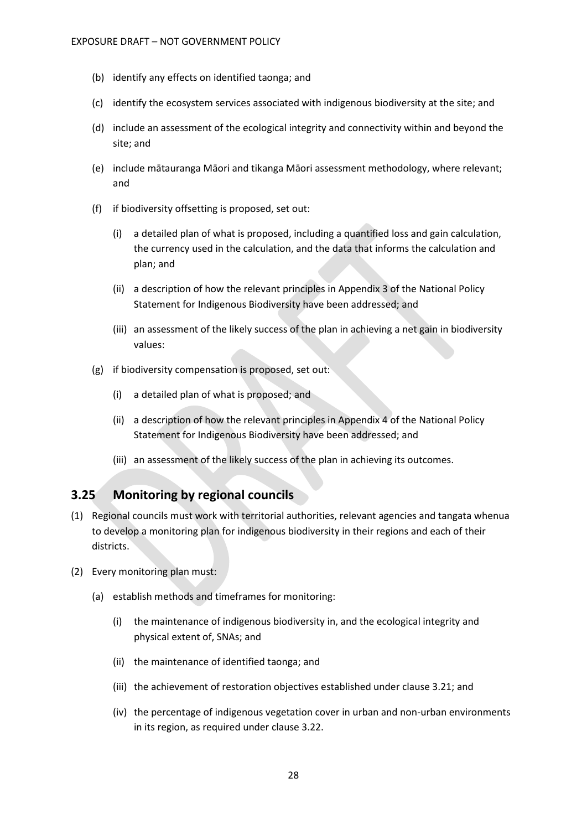- (b) identify any effects on identified taonga; and
- (c) identify the ecosystem services associated with indigenous biodiversity at the site; and
- (d) include an assessment of the ecological integrity and connectivity within and beyond the site; and
- (e) include mātauranga Māori and tikanga Māori assessment methodology, where relevant; and
- (f) if biodiversity offsetting is proposed, set out:
	- (i) a detailed plan of what is proposed, including a quantified loss and gain calculation, the currency used in the calculation, and the data that informs the calculation and plan; and
	- (ii) a description of how the relevant principles in Appendix 3 of the National Policy Statement for Indigenous Biodiversity have been addressed; and
	- (iii) an assessment of the likely success of the plan in achieving a net gain in biodiversity values:
- (g) if biodiversity compensation is proposed, set out:
	- (i) a detailed plan of what is proposed; and
	- (ii) a description of how the relevant principles in Appendix 4 of the National Policy Statement for Indigenous Biodiversity have been addressed; and
	- (iii) an assessment of the likely success of the plan in achieving its outcomes.

#### <span id="page-27-0"></span>**3.25 Monitoring by regional councils**

- (1) Regional councils must work with territorial authorities, relevant agencies and tangata whenua to develop a monitoring plan for indigenous biodiversity in their regions and each of their districts.
- (2) Every monitoring plan must:
	- (a) establish methods and timeframes for monitoring:
		- (i) the maintenance of indigenous biodiversity in, and the ecological integrity and physical extent of, SNAs; and
		- (ii) the maintenance of identified taonga; and
		- (iii) the achievement of restoration objectives established under clause 3.21; and
		- (iv) the percentage of indigenous vegetation cover in urban and non-urban environments in its region, as required under clause 3.22.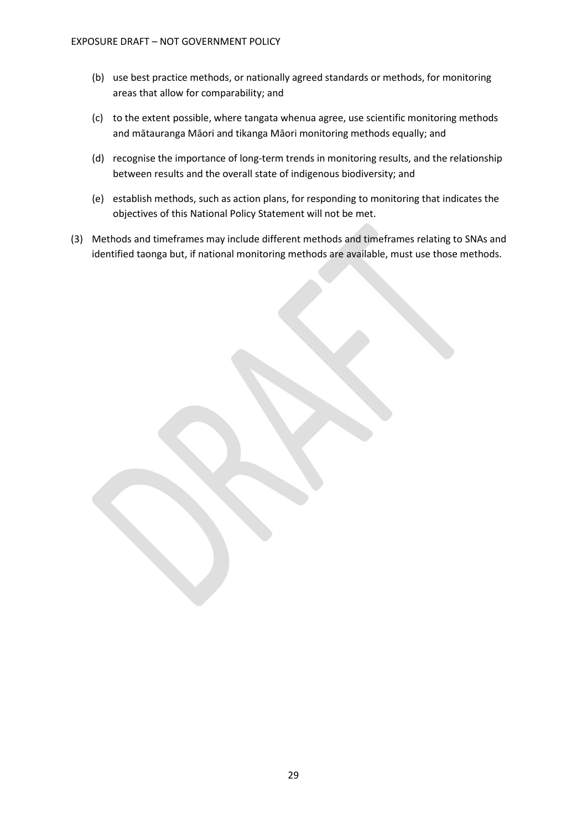- (b) use best practice methods, or nationally agreed standards or methods, for monitoring areas that allow for comparability; and
- (c) to the extent possible, where tangata whenua agree, use scientific monitoring methods and mātauranga Māori and tikanga Māori monitoring methods equally; and
- (d) recognise the importance of long-term trends in monitoring results, and the relationship between results and the overall state of indigenous biodiversity; and
- (e) establish methods, such as action plans, for responding to monitoring that indicates the objectives of this National Policy Statement will not be met.
- (3) Methods and timeframes may include different methods and timeframes relating to SNAs and identified taonga but, if national monitoring methods are available, must use those methods.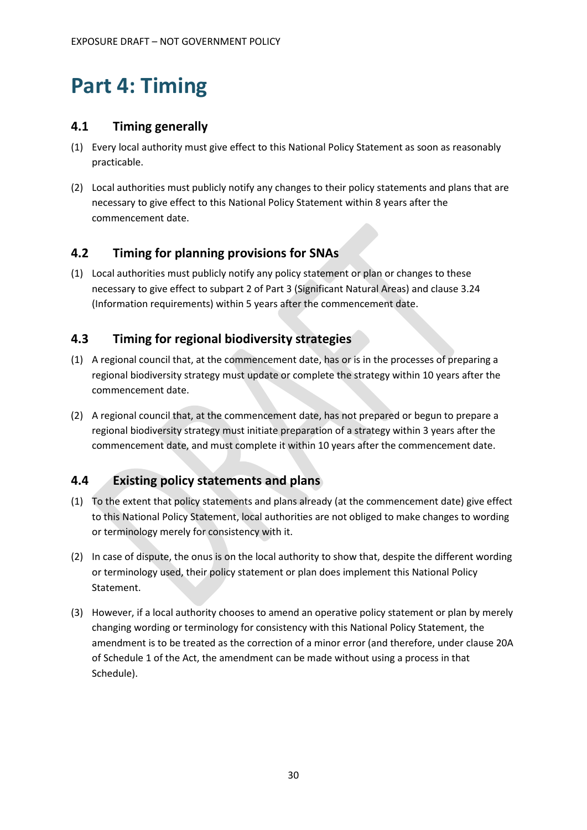## <span id="page-29-0"></span>**Part 4: Timing**

#### <span id="page-29-1"></span>**4.1 Timing generally**

- (1) Every local authority must give effect to this National Policy Statement as soon as reasonably practicable.
- (2) Local authorities must publicly notify any changes to their policy statements and plans that are necessary to give effect to this National Policy Statement within 8 years after the commencement date.

## <span id="page-29-2"></span>**4.2 Timing for planning provisions for SNAs**

(1) Local authorities must publicly notify any policy statement or plan or changes to these necessary to give effect to subpart 2 of Part 3 (Significant Natural Areas) and clause 3.24 (Information requirements) within 5 years after the commencement date.

## <span id="page-29-3"></span>**4.3 Timing for regional biodiversity strategies**

- (1) A regional council that, at the commencement date, has or is in the processes of preparing a regional biodiversity strategy must update or complete the strategy within 10 years after the commencement date.
- (2) A regional council that, at the commencement date, has not prepared or begun to prepare a regional biodiversity strategy must initiate preparation of a strategy within 3 years after the commencement date, and must complete it within 10 years after the commencement date.

## <span id="page-29-4"></span>**4.4 Existing policy statements and plans**

- (1) To the extent that policy statements and plans already (at the commencement date) give effect to this National Policy Statement, local authorities are not obliged to make changes to wording or terminology merely for consistency with it.
- (2) In case of dispute, the onus is on the local authority to show that, despite the different wording or terminology used, their policy statement or plan does implement this National Policy Statement.
- (3) However, if a local authority chooses to amend an operative policy statement or plan by merely changing wording or terminology for consistency with this National Policy Statement, the amendment is to be treated as the correction of a minor error (and therefore, under clause 20A of Schedule 1 of the Act, the amendment can be made without using a process in that Schedule).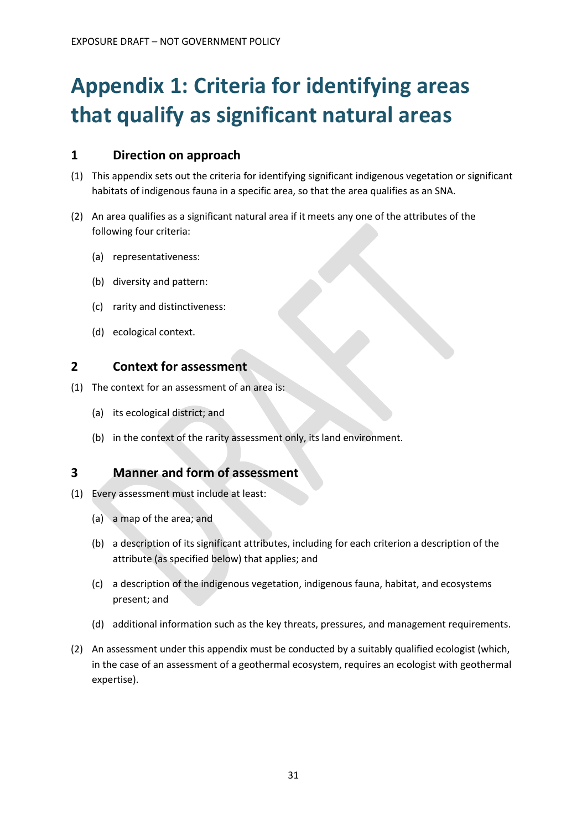# <span id="page-30-0"></span>**Appendix 1: Criteria for identifying areas that qualify as significant natural areas**

#### <span id="page-30-1"></span>**1 Direction on approach**

- (1) This appendix sets out the criteria for identifying significant indigenous vegetation or significant habitats of indigenous fauna in a specific area, so that the area qualifies as an SNA.
- (2) An area qualifies as a significant natural area if it meets any one of the attributes of the following four criteria:
	- (a) representativeness:
	- (b) diversity and pattern:
	- (c) rarity and distinctiveness:
	- (d) ecological context.

#### <span id="page-30-2"></span>**2 Context for assessment**

- (1) The context for an assessment of an area is:
	- (a) its ecological district; and
	- (b) in the context of the rarity assessment only, its land environment.

#### <span id="page-30-3"></span>**3 Manner and form of assessment**

- (1) Every assessment must include at least:
	- (a) a map of the area; and
	- (b) a description of its significant attributes, including for each criterion a description of the attribute (as specified below) that applies; and
	- (c) a description of the indigenous vegetation, indigenous fauna, habitat, and ecosystems present; and
	- (d) additional information such as the key threats, pressures, and management requirements.
- (2) An assessment under this appendix must be conducted by a suitably qualified ecologist (which, in the case of an assessment of a geothermal ecosystem, requires an ecologist with geothermal expertise).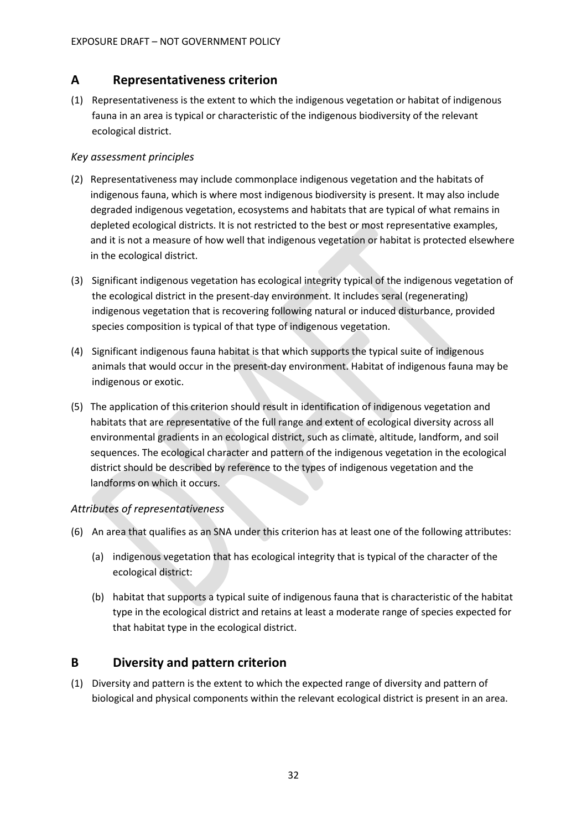#### <span id="page-31-0"></span>**A Representativeness criterion**

(1) Representativeness is the extent to which the indigenous vegetation or habitat of indigenous fauna in an area is typical or characteristic of the indigenous biodiversity of the relevant ecological district.

#### *Key assessment principles*

- (2) Representativeness may include commonplace indigenous vegetation and the habitats of indigenous fauna, which is where most indigenous biodiversity is present. It may also include degraded indigenous vegetation, ecosystems and habitats that are typical of what remains in depleted ecological districts. It is not restricted to the best or most representative examples, and it is not a measure of how well that indigenous vegetation or habitat is protected elsewhere in the ecological district.
- (3) Significant indigenous vegetation has ecological integrity typical of the indigenous vegetation of the ecological district in the present-day environment. It includes seral (regenerating) indigenous vegetation that is recovering following natural or induced disturbance, provided species composition is typical of that type of indigenous vegetation.
- (4) Significant indigenous fauna habitat is that which supports the typical suite of indigenous animals that would occur in the present-day environment. Habitat of indigenous fauna may be indigenous or exotic.
- (5) The application of this criterion should result in identification of indigenous vegetation and habitats that are representative of the full range and extent of ecological diversity across all environmental gradients in an ecological district, such as climate, altitude, landform, and soil sequences. The ecological character and pattern of the indigenous vegetation in the ecological district should be described by reference to the types of indigenous vegetation and the landforms on which it occurs.

#### *Attributes of representativeness*

- (6) An area that qualifies as an SNA under this criterion has at least one of the following attributes:
	- (a) indigenous vegetation that has ecological integrity that is typical of the character of the ecological district:
	- (b) habitat that supports a typical suite of indigenous fauna that is characteristic of the habitat type in the ecological district and retains at least a moderate range of species expected for that habitat type in the ecological district.

#### <span id="page-31-1"></span>**B Diversity and pattern criterion**

(1) Diversity and pattern is the extent to which the expected range of diversity and pattern of biological and physical components within the relevant ecological district is present in an area.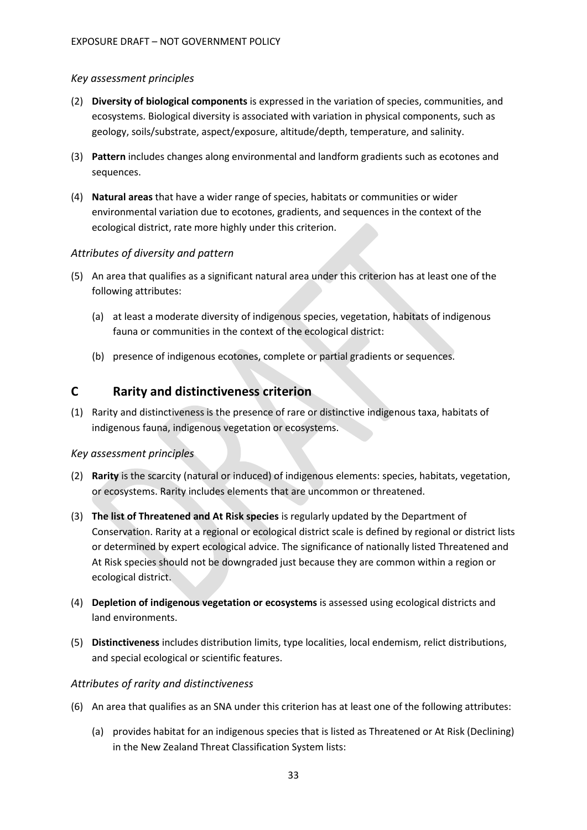#### *Key assessment principles*

- (2) **Diversity of biological components** is expressed in the variation of species, communities, and ecosystems. Biological diversity is associated with variation in physical components, such as geology, soils/substrate, aspect/exposure, altitude/depth, temperature, and salinity.
- (3) **Pattern** includes changes along environmental and landform gradients such as ecotones and sequences.
- (4) **Natural areas** that have a wider range of species, habitats or communities or wider environmental variation due to ecotones, gradients, and sequences in the context of the ecological district, rate more highly under this criterion.

#### *Attributes of diversity and pattern*

- (5) An area that qualifies as a significant natural area under this criterion has at least one of the following attributes:
	- (a) at least a moderate diversity of indigenous species, vegetation, habitats of indigenous fauna or communities in the context of the ecological district:
	- (b) presence of indigenous ecotones, complete or partial gradients or sequences.

#### <span id="page-32-0"></span>**C Rarity and distinctiveness criterion**

(1) Rarity and distinctiveness is the presence of rare or distinctive indigenous taxa, habitats of indigenous fauna, indigenous vegetation or ecosystems.

#### *Key assessment principles*

- (2) **Rarity** is the scarcity (natural or induced) of indigenous elements: species, habitats, vegetation, or ecosystems. Rarity includes elements that are uncommon or threatened.
- (3) **The list of Threatened and At Risk species** is regularly updated by the Department of Conservation. Rarity at a regional or ecological district scale is defined by regional or district lists or determined by expert ecological advice. The significance of nationally listed Threatened and At Risk species should not be downgraded just because they are common within a region or ecological district.
- (4) **Depletion of indigenous vegetation or ecosystems** is assessed using ecological districts and land environments.
- (5) **Distinctiveness** includes distribution limits, type localities, local endemism, relict distributions, and special ecological or scientific features.

#### *Attributes of rarity and distinctiveness*

- (6) An area that qualifies as an SNA under this criterion has at least one of the following attributes:
	- (a) provides habitat for an indigenous species that is listed as Threatened or At Risk (Declining) in the New Zealand Threat Classification System lists: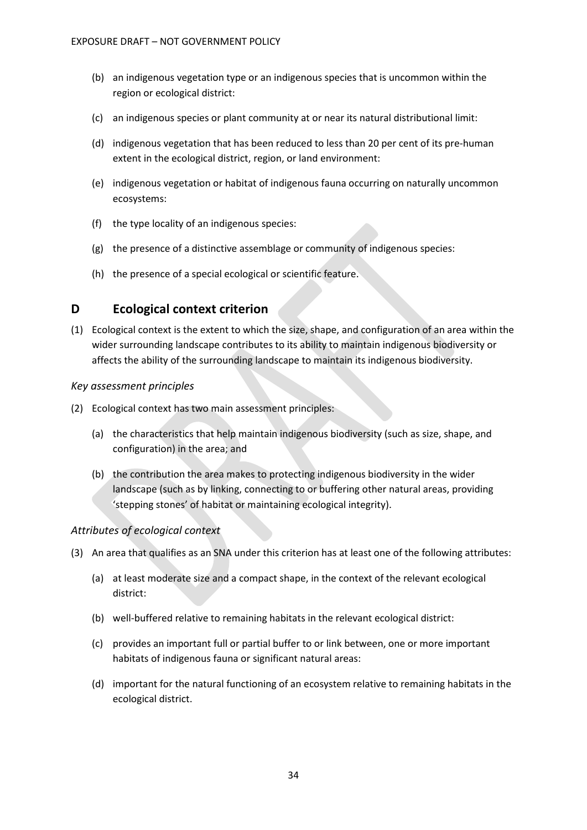- (b) an indigenous vegetation type or an indigenous species that is uncommon within the region or ecological district:
- (c) an indigenous species or plant community at or near its natural distributional limit:
- (d) indigenous vegetation that has been reduced to less than 20 per cent of its pre-human extent in the ecological district, region, or land environment:
- (e) indigenous vegetation or habitat of indigenous fauna occurring on naturally uncommon ecosystems:
- (f) the type locality of an indigenous species:
- (g) the presence of a distinctive assemblage or community of indigenous species:
- (h) the presence of a special ecological or scientific feature.

#### <span id="page-33-0"></span>**D Ecological context criterion**

(1) Ecological context is the extent to which the size, shape, and configuration of an area within the wider surrounding landscape contributes to its ability to maintain indigenous biodiversity or affects the ability of the surrounding landscape to maintain its indigenous biodiversity.

#### *Key assessment principles*

- (2) Ecological context has two main assessment principles:
	- (a) the characteristics that help maintain indigenous biodiversity (such as size, shape, and configuration) in the area; and
	- (b) the contribution the area makes to protecting indigenous biodiversity in the wider landscape (such as by linking, connecting to or buffering other natural areas, providing 'stepping stones' of habitat or maintaining ecological integrity).

#### *Attributes of ecological context*

- (3) An area that qualifies as an SNA under this criterion has at least one of the following attributes:
	- (a) at least moderate size and a compact shape, in the context of the relevant ecological district:
	- (b) well-buffered relative to remaining habitats in the relevant ecological district:
	- (c) provides an important full or partial buffer to or link between, one or more important habitats of indigenous fauna or significant natural areas:
	- (d) important for the natural functioning of an ecosystem relative to remaining habitats in the ecological district.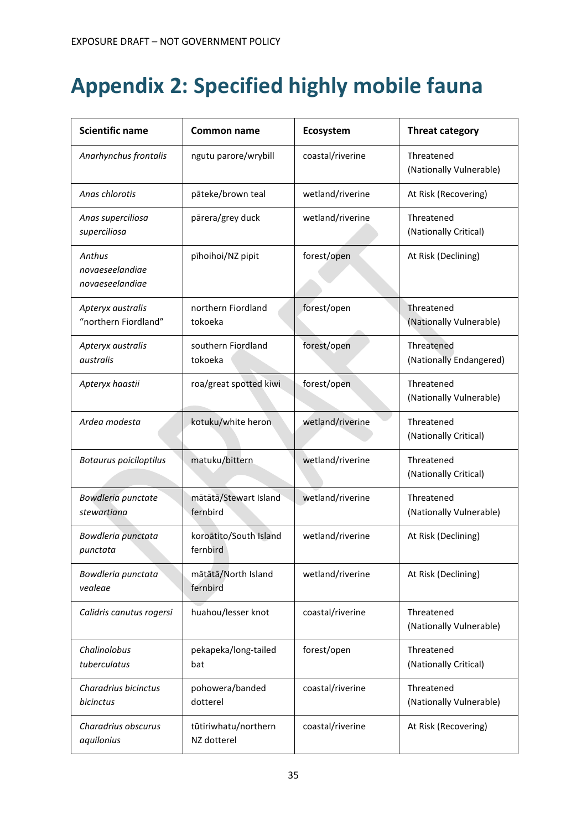## <span id="page-34-0"></span>**Appendix 2: Specified highly mobile fauna**

| <b>Scientific name</b>                       | Common name                         | Ecosystem        | <b>Threat category</b>                |
|----------------------------------------------|-------------------------------------|------------------|---------------------------------------|
| Anarhynchus frontalis                        | ngutu parore/wrybill                | coastal/riverine | Threatened<br>(Nationally Vulnerable) |
| Anas chlorotis                               | pāteke/brown teal                   | wetland/riverine | At Risk (Recovering)                  |
| Anas superciliosa<br>superciliosa            | pārera/grey duck                    | wetland/riverine | Threatened<br>(Nationally Critical)   |
| Anthus<br>novaeseelandiae<br>novaeseelandiae | pīhoihoi/NZ pipit                   | forest/open      | At Risk (Declining)                   |
| Apteryx australis<br>"northern Fiordland"    | northern Fiordland<br>tokoeka       | forest/open      | Threatened<br>(Nationally Vulnerable) |
| Apteryx australis<br>australis               | southern Fiordland<br>tokoeka       | forest/open      | Threatened<br>(Nationally Endangered) |
| Apteryx haastii                              | roa/great spotted kiwi              | forest/open      | Threatened<br>(Nationally Vulnerable) |
| Ardea modesta                                | kotuku/white heron                  | wetland/riverine | Threatened<br>(Nationally Critical)   |
| Botaurus poiciloptilus                       | matuku/bittern                      | wetland/riverine | Threatened<br>(Nationally Critical)   |
| Bowdleria punctate<br>stewartiana            | mātātā/Stewart Island<br>fernbird   | wetland/riverine | Threatened<br>(Nationally Vulnerable) |
| Bowdleria punctata<br>punctata               | koroātito/South Island<br>fernbird  | wetland/riverine | At Risk (Declining)                   |
| Bowdleria punctata<br>vealeae                | mātātā/North Island<br>fernbird     | wetland/riverine | At Risk (Declining)                   |
| Calidris canutus rogersi                     | huahou/lesser knot                  | coastal/riverine | Threatened<br>(Nationally Vulnerable) |
| Chalinolobus<br>tuberculatus                 | pekapeka/long-tailed<br>bat         | forest/open      | Threatened<br>(Nationally Critical)   |
| Charadrius bicinctus<br>bicinctus            | pohowera/banded<br>dotterel         | coastal/riverine | Threatened<br>(Nationally Vulnerable) |
| Charadrius obscurus<br>aquilonius            | tūtiriwhatu/northern<br>NZ dotterel | coastal/riverine | At Risk (Recovering)                  |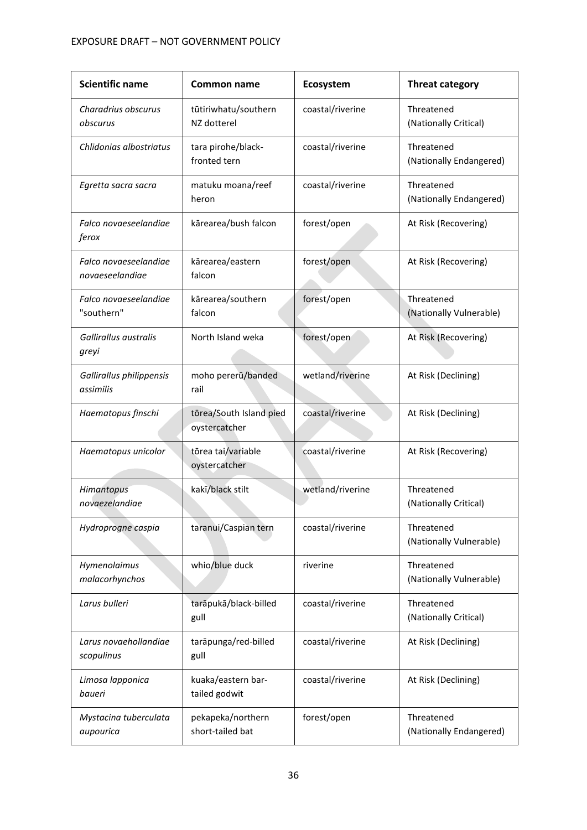| <b>Scientific name</b>                   | <b>Common name</b>                       | Ecosystem        | <b>Threat category</b>                |
|------------------------------------------|------------------------------------------|------------------|---------------------------------------|
| Charadrius obscurus<br>obscurus          | tūtiriwhatu/southern<br>NZ dotterel      | coastal/riverine | Threatened<br>(Nationally Critical)   |
| Chlidonias albostriatus                  | tara pirohe/black-<br>fronted tern       | coastal/riverine | Threatened<br>(Nationally Endangered) |
| Egretta sacra sacra                      | matuku moana/reef<br>heron               | coastal/riverine | Threatened<br>(Nationally Endangered) |
| Falco novaeseelandiae<br>ferox           | kārearea/bush falcon                     | forest/open      | At Risk (Recovering)                  |
| Falco novaeseelandiae<br>novaeseelandiae | kārearea/eastern<br>falcon               | forest/open      | At Risk (Recovering)                  |
| Falco novaeseelandiae<br>"southern"      | kārearea/southern<br>falcon              | forest/open      | Threatened<br>(Nationally Vulnerable) |
| Gallirallus australis<br>greyi           | North Island weka                        | forest/open      | At Risk (Recovering)                  |
| Gallirallus philippensis<br>assimilis    | moho pererū/banded<br>rail               | wetland/riverine | At Risk (Declining)                   |
| Haematopus finschi                       | tōrea/South Island pied<br>oystercatcher | coastal/riverine | At Risk (Declining)                   |
| Haematopus unicolor                      | tōrea tai/variable<br>oystercatcher      | coastal/riverine | At Risk (Recovering)                  |
| Himantopus<br>novaezelandiae             | kakī/black stilt                         | wetland/riverine | Threatened<br>(Nationally Critical)   |
| Hydroprogne caspia                       | taranui/Caspian tern                     | coastal/riverine | Threatened<br>(Nationally Vulnerable) |
| Hymenolaimus<br>malacorhynchos           | whio/blue duck                           | riverine         | Threatened<br>(Nationally Vulnerable) |
| Larus bulleri                            | tarāpukā/black-billed<br>gull            | coastal/riverine | Threatened<br>(Nationally Critical)   |
| Larus novaehollandiae<br>scopulinus      | tarāpunga/red-billed<br>gull             | coastal/riverine | At Risk (Declining)                   |
| Limosa lapponica<br>baueri               | kuaka/eastern bar-<br>tailed godwit      | coastal/riverine | At Risk (Declining)                   |
| Mystacina tuberculata<br>aupourica       | pekapeka/northern<br>short-tailed bat    | forest/open      | Threatened<br>(Nationally Endangered) |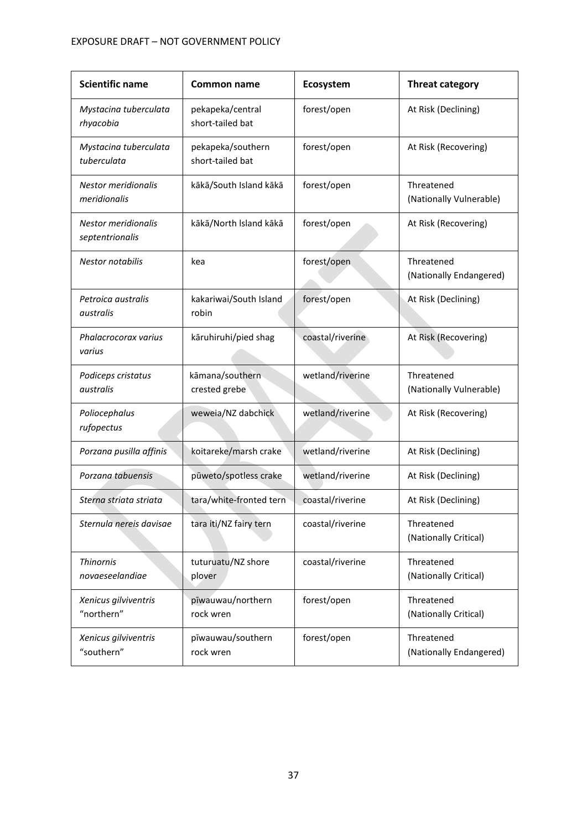| <b>Scientific name</b>                 | <b>Common name</b>                    | Ecosystem        | <b>Threat category</b>                |
|----------------------------------------|---------------------------------------|------------------|---------------------------------------|
| Mystacina tuberculata<br>rhyacobia     | pekapeka/central<br>short-tailed bat  | forest/open      | At Risk (Declining)                   |
| Mystacina tuberculata<br>tuberculata   | pekapeka/southern<br>short-tailed bat | forest/open      | At Risk (Recovering)                  |
| Nestor meridionalis<br>meridionalis    | kākā/South Island kākā                | forest/open      | Threatened<br>(Nationally Vulnerable) |
| Nestor meridionalis<br>septentrionalis | kākā/North Island kākā                | forest/open      | At Risk (Recovering)                  |
| <b>Nestor notabilis</b>                | kea                                   | forest/open      | Threatened<br>(Nationally Endangered) |
| Petroica australis<br>australis        | kakariwai/South Island<br>robin       | forest/open      | At Risk (Declining)                   |
| Phalacrocorax varius<br>varius         | kāruhiruhi/pied shag                  | coastal/riverine | At Risk (Recovering)                  |
| Podiceps cristatus<br>australis        | kāmana/southern<br>crested grebe      | wetland/riverine | Threatened<br>(Nationally Vulnerable) |
| Poliocephalus<br>rufopectus            | weweia/NZ dabchick                    | wetland/riverine | At Risk (Recovering)                  |
| Porzana pusilla affinis                | koitareke/marsh crake                 | wetland/riverine | At Risk (Declining)                   |
| Porzana tabuensis                      | pūweto/spotless crake                 | wetland/riverine | At Risk (Declining)                   |
| Sterna striata striata                 | tara/white-fronted tern               | coastal/riverine | At Risk (Declining)                   |
| Sternula nereis davisae                | tara iti/NZ fairy tern                | coastal/riverine | Threatened<br>(Nationally Critical)   |
| <b>Thinornis</b><br>novaeseelandiae    | tuturuatu/NZ shore<br>plover          | coastal/riverine | Threatened<br>(Nationally Critical)   |
| Xenicus gilviventris<br>"northern"     | pīwauwau/northern<br>rock wren        | forest/open      | Threatened<br>(Nationally Critical)   |
| Xenicus gilviventris<br>"southern"     | pīwauwau/southern<br>rock wren        | forest/open      | Threatened<br>(Nationally Endangered) |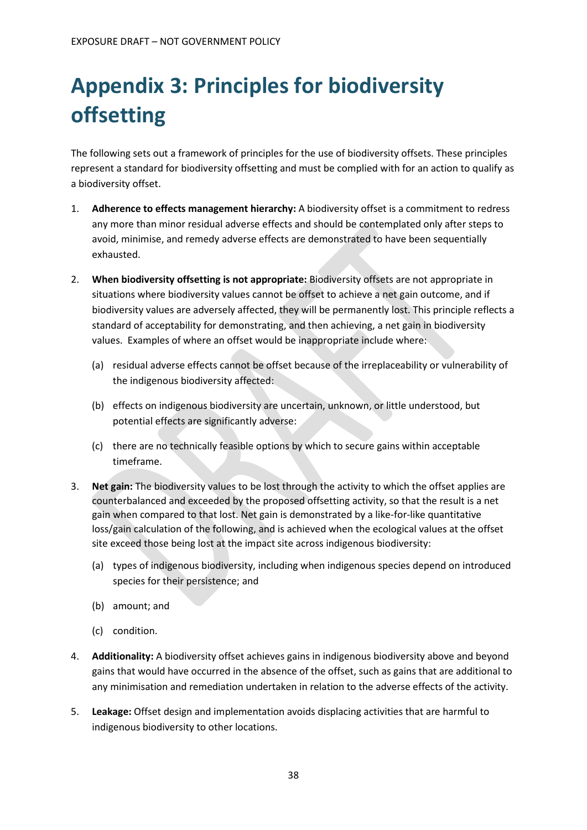# <span id="page-37-0"></span>**Appendix 3: Principles for biodiversity offsetting**

The following sets out a framework of principles for the use of biodiversity offsets. These principles represent a standard for biodiversity offsetting and must be complied with for an action to qualify as a biodiversity offset.

- 1. **Adherence to effects management hierarchy:** A biodiversity offset is a commitment to redress any more than minor residual adverse effects and should be contemplated only after steps to avoid, minimise, and remedy adverse effects are demonstrated to have been sequentially exhausted.
- 2. **When biodiversity offsetting is not appropriate:** Biodiversity offsets are not appropriate in situations where biodiversity values cannot be offset to achieve a net gain outcome, and if biodiversity values are adversely affected, they will be permanently lost. This principle reflects a standard of acceptability for demonstrating, and then achieving, a net gain in biodiversity values. Examples of where an offset would be inappropriate include where:
	- (a) residual adverse effects cannot be offset because of the irreplaceability or vulnerability of the indigenous biodiversity affected:
	- (b) effects on indigenous biodiversity are uncertain, unknown, or little understood, but potential effects are significantly adverse:
	- (c) there are no technically feasible options by which to secure gains within acceptable timeframe.
- 3. **Net gain:** The biodiversity values to be lost through the activity to which the offset applies are counterbalanced and exceeded by the proposed offsetting activity, so that the result is a net gain when compared to that lost. Net gain is demonstrated by a like-for-like quantitative loss/gain calculation of the following, and is achieved when the ecological values at the offset site exceed those being lost at the impact site across indigenous biodiversity:
	- (a) types of indigenous biodiversity, including when indigenous species depend on introduced species for their persistence; and
	- (b) amount; and
	- (c) condition.
- 4. **Additionality:** A biodiversity offset achieves gains in indigenous biodiversity above and beyond gains that would have occurred in the absence of the offset, such as gains that are additional to any minimisation and remediation undertaken in relation to the adverse effects of the activity.
- 5. **Leakage:** Offset design and implementation avoids displacing activities that are harmful to indigenous biodiversity to other locations.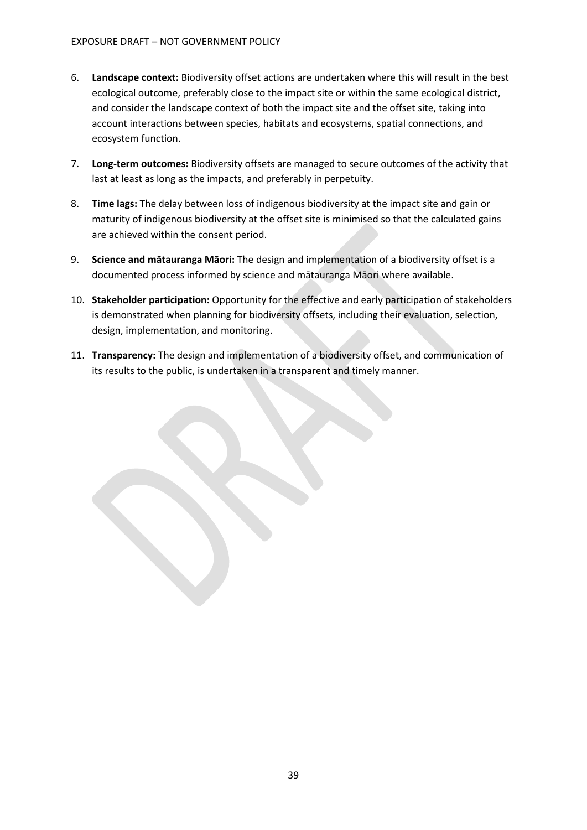#### EXPOSURE DRAFT – NOT GOVERNMENT POLICY

- 6. **Landscape context:** Biodiversity offset actions are undertaken where this will result in the best ecological outcome, preferably close to the impact site or within the same ecological district, and consider the landscape context of both the impact site and the offset site, taking into account interactions between species, habitats and ecosystems, spatial connections, and ecosystem function.
- 7. **Long-term outcomes:** Biodiversity offsets are managed to secure outcomes of the activity that last at least as long as the impacts, and preferably in perpetuity.
- 8. **Time lags:** The delay between loss of indigenous biodiversity at the impact site and gain or maturity of indigenous biodiversity at the offset site is minimised so that the calculated gains are achieved within the consent period.
- 9. **Science and mātauranga Māori:** The design and implementation of a biodiversity offset is a documented process informed by science and mātauranga Māori where available.
- 10. **Stakeholder participation:** Opportunity for the effective and early participation of stakeholders is demonstrated when planning for biodiversity offsets, including their evaluation, selection, design, implementation, and monitoring.
- 11. **Transparency:** The design and implementation of a biodiversity offset, and communication of its results to the public, is undertaken in a transparent and timely manner.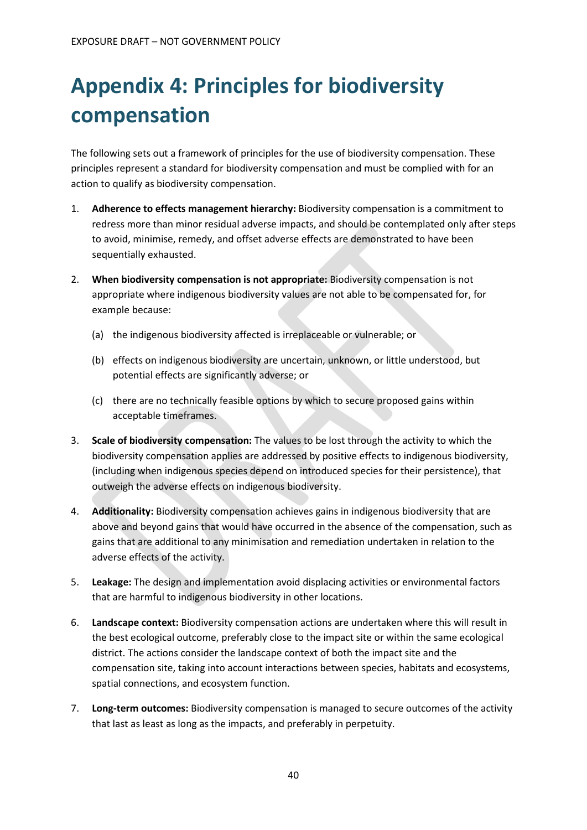# <span id="page-39-0"></span>**Appendix 4: Principles for biodiversity compensation**

The following sets out a framework of principles for the use of biodiversity compensation. These principles represent a standard for biodiversity compensation and must be complied with for an action to qualify as biodiversity compensation.

- 1. **Adherence to effects management hierarchy:** Biodiversity compensation is a commitment to redress more than minor residual adverse impacts, and should be contemplated only after steps to avoid, minimise, remedy, and offset adverse effects are demonstrated to have been sequentially exhausted.
- 2. **When biodiversity compensation is not appropriate:** Biodiversity compensation is not appropriate where indigenous biodiversity values are not able to be compensated for, for example because:
	- (a) the indigenous biodiversity affected is irreplaceable or vulnerable; or
	- (b) effects on indigenous biodiversity are uncertain, unknown, or little understood, but potential effects are significantly adverse; or
	- (c) there are no technically feasible options by which to secure proposed gains within acceptable timeframes.
- 3. **Scale of biodiversity compensation:** The values to be lost through the activity to which the biodiversity compensation applies are addressed by positive effects to indigenous biodiversity, (including when indigenous species depend on introduced species for their persistence), that outweigh the adverse effects on indigenous biodiversity.
- 4. **Additionality:** Biodiversity compensation achieves gains in indigenous biodiversity that are above and beyond gains that would have occurred in the absence of the compensation, such as gains that are additional to any minimisation and remediation undertaken in relation to the adverse effects of the activity.
- 5. **Leakage:** The design and implementation avoid displacing activities or environmental factors that are harmful to indigenous biodiversity in other locations.
- 6. **Landscape context:** Biodiversity compensation actions are undertaken where this will result in the best ecological outcome, preferably close to the impact site or within the same ecological district. The actions consider the landscape context of both the impact site and the compensation site, taking into account interactions between species, habitats and ecosystems, spatial connections, and ecosystem function.
- 7. **Long-term outcomes:** Biodiversity compensation is managed to secure outcomes of the activity that last as least as long as the impacts, and preferably in perpetuity.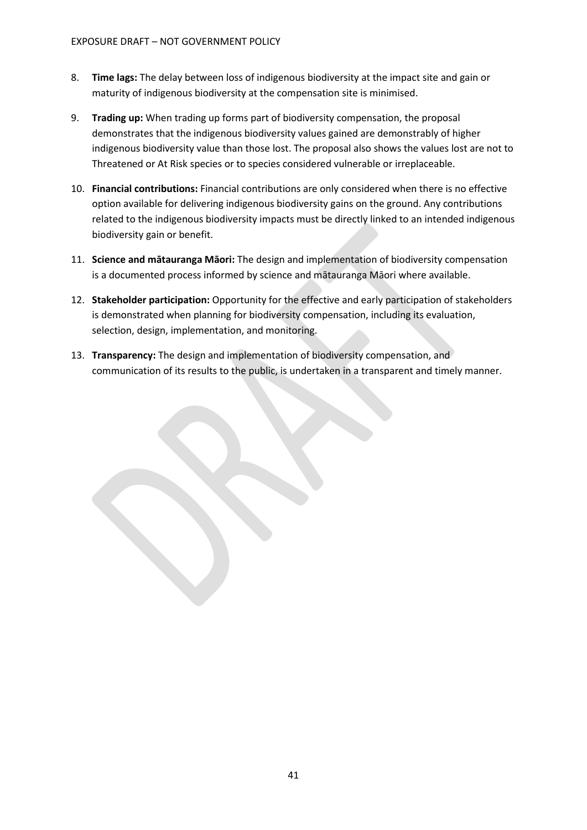- 8. **Time lags:** The delay between loss of indigenous biodiversity at the impact site and gain or maturity of indigenous biodiversity at the compensation site is minimised.
- 9. **Trading up:** When trading up forms part of biodiversity compensation, the proposal demonstrates that the indigenous biodiversity values gained are demonstrably of higher indigenous biodiversity value than those lost. The proposal also shows the values lost are not to Threatened or At Risk species or to species considered vulnerable or irreplaceable.
- 10. **Financial contributions:** Financial contributions are only considered when there is no effective option available for delivering indigenous biodiversity gains on the ground. Any contributions related to the indigenous biodiversity impacts must be directly linked to an intended indigenous biodiversity gain or benefit.
- 11. **Science and mātauranga Māori:** The design and implementation of biodiversity compensation is a documented process informed by science and mātauranga Māori where available.
- 12. **Stakeholder participation:** Opportunity for the effective and early participation of stakeholders is demonstrated when planning for biodiversity compensation, including its evaluation, selection, design, implementation, and monitoring.
- 13. **Transparency:** The design and implementation of biodiversity compensation, and communication of its results to the public, is undertaken in a transparent and timely manner.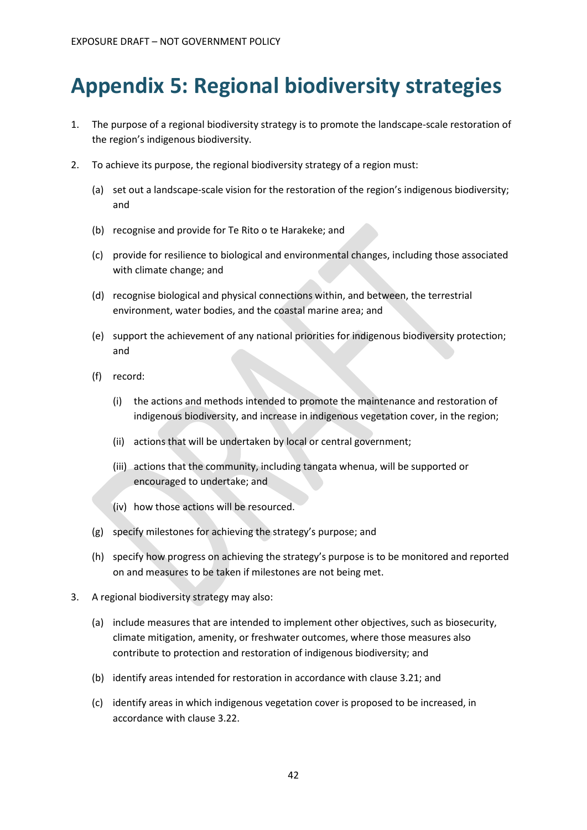## <span id="page-41-0"></span>**Appendix 5: Regional biodiversity strategies**

- 1. The purpose of a regional biodiversity strategy is to promote the landscape-scale restoration of the region's indigenous biodiversity.
- 2. To achieve its purpose, the regional biodiversity strategy of a region must:
	- (a) set out a landscape-scale vision for the restoration of the region's indigenous biodiversity; and
	- (b) recognise and provide for Te Rito o te Harakeke; and
	- (c) provide for resilience to biological and environmental changes, including those associated with climate change; and
	- (d) recognise biological and physical connections within, and between, the terrestrial environment, water bodies, and the coastal marine area; and
	- (e) support the achievement of any national priorities for indigenous biodiversity protection; and
	- (f) record:
		- (i) the actions and methods intended to promote the maintenance and restoration of indigenous biodiversity, and increase in indigenous vegetation cover, in the region;
		- (ii) actions that will be undertaken by local or central government;
		- (iii) actions that the community, including tangata whenua, will be supported or encouraged to undertake; and
		- (iv) how those actions will be resourced.
	- (g) specify milestones for achieving the strategy's purpose; and
	- (h) specify how progress on achieving the strategy's purpose is to be monitored and reported on and measures to be taken if milestones are not being met.
- 3. A regional biodiversity strategy may also:
	- (a) include measures that are intended to implement other objectives, such as biosecurity, climate mitigation, amenity, or freshwater outcomes, where those measures also contribute to protection and restoration of indigenous biodiversity; and
	- (b) identify areas intended for restoration in accordance with clause 3.21; and
	- (c) identify areas in which indigenous vegetation cover is proposed to be increased, in accordance with clause 3.22.